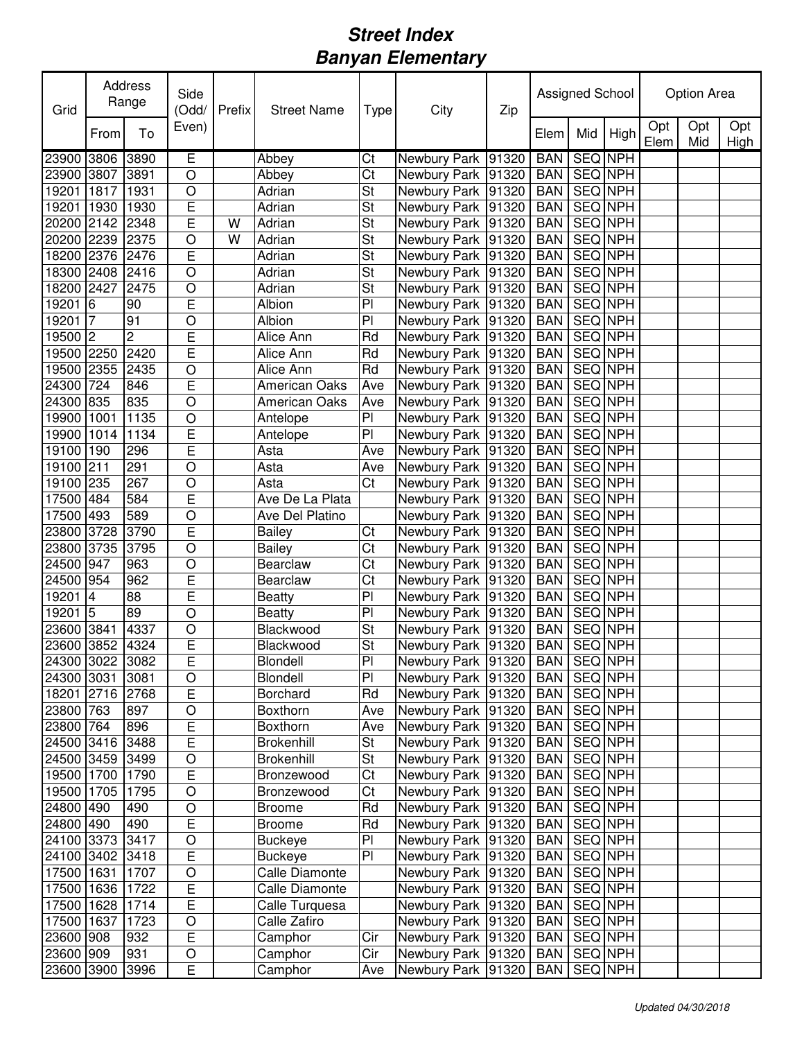| Grid                     |                | Address<br>Range | Side<br>(Odd/  | Prefix | <b>Street Name</b>   | Type                     | City                                     | Zip |                          | Assigned School           |         |             | Option Area |             |
|--------------------------|----------------|------------------|----------------|--------|----------------------|--------------------------|------------------------------------------|-----|--------------------------|---------------------------|---------|-------------|-------------|-------------|
|                          | From           | To               | Even)          |        |                      |                          |                                          |     | Elem                     | Mid                       | High    | Opt<br>Elem | Opt<br>Mid  | Opt<br>High |
| 23900                    | 3806           | 3890             | Έ              |        | Abbey                | $\overline{\text{C}}$ t  | Newbury Park 91320                       |     | <b>BAN</b>               | <b>SEQ NPH</b>            |         |             |             |             |
| 23900 3807               |                | 3891             | $\circ$        |        | Abbey                | $\overline{\text{Ct}}$   | Newbury Park 91320                       |     | <b>BAN</b>               | <b>SEQ NPH</b>            |         |             |             |             |
| 19201                    | 1817           | 1931             | $\circ$        |        | Adrian               | $\overline{\mathsf{St}}$ | Newbury Park 91320                       |     | <b>BAN</b>               | <b>SEQ NPH</b>            |         |             |             |             |
| 19201                    | 1930           | 1930             | E              |        | Adrian               | St                       | Newbury Park 91320                       |     | <b>BAN</b>               | <b>SEQ NPH</b>            |         |             |             |             |
| 20200 2142               |                | 2348             | E              | W      | Adrian               | $\overline{\mathsf{St}}$ | Newbury Park 91320                       |     | <b>BAN</b>               | SEQ NPH                   |         |             |             |             |
| 20200 2239               |                | 2375             | $\circ$        | W      | Adrian               | St                       | Newbury Park 91320                       |     | <b>BAN</b>               | SEQ NPH                   |         |             |             |             |
| 18200 2376               |                | 2476             | E              |        | Adrian               | St                       | Newbury Park 91320                       |     | <b>BAN</b>               | SEQ NPH                   |         |             |             |             |
| 18300 2408               |                | 2416             | $\circ$        |        | Adrian               | St                       | Newbury Park 91320                       |     | <b>BAN</b>               | SEQ NPH                   |         |             |             |             |
| 18200 2427               |                | 2475             | $\circ$        |        | Adrian               | St                       | Newbury Park 91320                       |     | <b>BAN</b>               | SEQ NPH                   |         |             |             |             |
| 19201                    | 6              | 90               | E              |        | Albion               | P <sub>1</sub>           | Newbury Park 91320                       |     | <b>BAN</b>               | SEQ NPH                   |         |             |             |             |
| 19201                    | $\overline{7}$ | 91               | $\circ$        |        | Albion               | P <sub>1</sub>           | Newbury Park 91320                       |     | <b>BAN</b>               | SEQ NPH                   |         |             |             |             |
| 19500 2                  |                | $\overline{c}$   | E<br>E         |        | Alice Ann            | Rd                       | Newbury Park 91320                       |     | <b>BAN</b>               | SEQ NPH                   |         |             |             |             |
| 19500 2250               |                | 2420             |                |        | Alice Ann            | Rd                       | Newbury Park 91320                       |     | <b>BAN</b>               | SEQ NPH                   |         |             |             |             |
| 19500                    | 2355           | 2435             | $\circ$<br>E   |        | Alice Ann            | Rd                       | Newbury Park 91320                       |     | <b>BAN</b>               | SEQ NPH                   |         |             |             |             |
| 24300                    | 724            | 846              | O              |        | <b>American Oaks</b> | Ave                      | Newbury Park 91320                       |     | <b>BAN</b>               | SEQ NPH                   |         |             |             |             |
| 24300 835                |                | 835<br>1135      | $\circ$        |        | <b>American Oaks</b> | Ave<br>${\sf Pl}$        | Newbury Park 91320<br>Newbury Park 91320 |     | <b>BAN</b>               | SEQ NPH<br><b>SEQ NPH</b> |         |             |             |             |
| 19900 1001<br>19900 1014 |                | 1134             | E              |        | Antelope             | P <sub>1</sub>           | Newbury Park 91320                       |     | <b>BAN</b><br><b>BAN</b> | SEQ NPH                   |         |             |             |             |
| 19100 190                |                | 296              | E              |        | Antelope<br>Asta     | Ave                      | Newbury Park 91320                       |     | <b>BAN</b>               | <b>SEQ</b> NPH            |         |             |             |             |
| 19100 211                |                | 291              | $\circ$        |        | Asta                 | Ave                      | Newbury Park 91320                       |     | <b>BAN</b>               | SEQ NPH                   |         |             |             |             |
| 19100 235                |                | 267              | $\circ$        |        | Asta                 | $\overline{\text{Ct}}$   | Newbury Park 91320                       |     | <b>BAN</b>               | <b>SEQ NPH</b>            |         |             |             |             |
| 17500 484                |                | 584              | E              |        | Ave De La Plata      |                          | Newbury Park 91320                       |     | <b>BAN</b>               | SEQ NPH                   |         |             |             |             |
| 17500                    | 493            | 589              | $\circ$        |        | Ave Del Platino      |                          | Newbury Park 91320                       |     | <b>BAN</b>               | SEQ NPH                   |         |             |             |             |
| 23800                    | 3728           | 3790             | E              |        | <b>Bailey</b>        | Ct                       | Newbury Park 91320                       |     | <b>BAN</b>               | SEQ NPH                   |         |             |             |             |
| 23800                    | 3735           | 3795             | $\circ$        |        | <b>Bailey</b>        | $\overline{\text{Ct}}$   | Newbury Park 91320                       |     | <b>BAN</b>               | SEQ NPH                   |         |             |             |             |
| 24500                    | 947            | 963              | $\circ$        |        | Bearclaw             | $\overline{\text{Ct}}$   | Newbury Park 91320                       |     | <b>BAN</b>               | SEQ NPH                   |         |             |             |             |
| 24500                    | 954            | 962              | E              |        | Bearclaw             | $\overline{\text{Ct}}$   | Newbury Park 91320                       |     | <b>BAN</b>               | SEQ NPH                   |         |             |             |             |
| 19201                    | $\overline{4}$ | 88               | E              |        | <b>Beatty</b>        | P <sub>1</sub>           | Newbury Park 91320                       |     | <b>BAN</b>               | SEQ NPH                   |         |             |             |             |
| 19201                    | 5              | 89               | O              |        | <b>Beatty</b>        | P <sub>1</sub>           | Newbury Park 91320                       |     | <b>BAN</b>               | SEQ NPH                   |         |             |             |             |
| 23600                    | 3841           | 4337             | $\circ$        |        | Blackwood            | St                       | Newbury Park 91320                       |     | <b>BAN</b>               | SEQ NPH                   |         |             |             |             |
| 23600                    | 3852           | 4324             | E              |        | Blackwood            | St                       | Newbury Park 91320                       |     | <b>BAN</b>               | <b>SEQ NPH</b>            |         |             |             |             |
| 24300 3022 3082          |                |                  | E              |        | Blondell             | $\mathsf{Pl}$            | Newbury Park 91320   BAN   SEQ NPH       |     |                          |                           |         |             |             |             |
| 24300 3031               |                | 3081             | $\circ$        |        | Blondell             | PI                       | Newbury Park   91320   BAN   SEQ NPH     |     |                          |                           |         |             |             |             |
| 18201 2716 2768          |                |                  | $\mathsf E$    |        | Borchard             | Rd                       | Newbury Park 91320                       |     | <b>BAN</b>               | SEQ NPH                   |         |             |             |             |
| 23800 763                |                | 897              | $\bigcirc$     |        | Boxthorn             | Ave                      | Newbury Park 91320                       |     | <b>BAN</b>               | SEQ NPH                   |         |             |             |             |
| 23800 764                |                | 896              | E              |        | Boxthorn             | Ave                      | Newbury Park 91320                       |     | <b>BAN</b>               | SEQ NPH                   |         |             |             |             |
| 24500 3416 3488          |                |                  | E              |        | Brokenhill           | St                       | Newbury Park 91320                       |     | <b>BAN</b>               | SEQ NPH                   |         |             |             |             |
| 24500 3459               |                | 3499             | $\circ$        |        | Brokenhill           | $\overline{\mathsf{St}}$ | Newbury Park 91320                       |     | <b>BAN</b>               | SEQ NPH                   |         |             |             |             |
| 19500 1700               |                | 1790             | $\overline{E}$ |        | Bronzewood           | Ct                       | Newbury Park 91320                       |     | <b>BAN</b>               | SEQ NPH                   |         |             |             |             |
| 19500 1705               |                | 1795             | $\overline{O}$ |        | Bronzewood           | Ct                       | Newbury Park 91320                       |     | <b>BAN</b>               | SEQ NPH                   |         |             |             |             |
| 24800 490                |                | 490              | $\bigcirc$     |        | <b>Broome</b>        | Rd                       | Newbury Park 91320                       |     | <b>BAN</b>               | SEQ NPH                   |         |             |             |             |
| 24800 490                |                | 490              | $\overline{E}$ |        | <b>Broome</b>        | Rd                       | Newbury Park 91320                       |     | <b>BAN</b>               |                           | SEQ NPH |             |             |             |
| 24100 3373               |                | 3417             | $\bigcirc$     |        | <b>Buckeye</b>       | PI                       | Newbury Park 91320                       |     | <b>BAN</b>               | SEQ NPH                   |         |             |             |             |
| 24100 3402               |                | 3418             | $\overline{E}$ |        | <b>Buckeye</b>       | $\overline{P}$           | Newbury Park 91320                       |     | <b>BAN</b>               | SEQ NPH                   |         |             |             |             |
| 17500 1631               |                | 1707             | O              |        | Calle Diamonte       |                          | Newbury Park 91320                       |     | <b>BAN</b>               | SEQ NPH                   |         |             |             |             |
| 17500 1636 1722          |                |                  | E              |        | Calle Diamonte       |                          | Newbury Park 91320                       |     | <b>BAN</b>               | SEQ NPH                   |         |             |             |             |
| 17500 1628               |                | 1714             | E              |        | Calle Turquesa       |                          | Newbury Park 91320                       |     | <b>BAN</b>               | SEQ NPH                   |         |             |             |             |
| 17500 1637               |                | 1723             | $\bigcirc$     |        | Calle Zafiro         |                          | Newbury Park 91320                       |     | <b>BAN</b>               | SEQ NPH                   |         |             |             |             |
| 23600 908                |                | 932              | E              |        | Camphor              | Cir                      | Newbury Park 91320                       |     | <b>BAN</b>               | SEQ NPH                   |         |             |             |             |
| 23600 909                |                | 931              | $\circ$        |        | Camphor              | $\overline{\text{Cir}}$  | Newbury Park 91320                       |     | <b>BAN</b>               | SEQ NPH                   |         |             |             |             |
| 23600 3900               |                | 3996             | $\overline{E}$ |        | Camphor              | Ave                      | Newbury Park 91320                       |     | <b>BAN</b>               | SEQ NPH                   |         |             |             |             |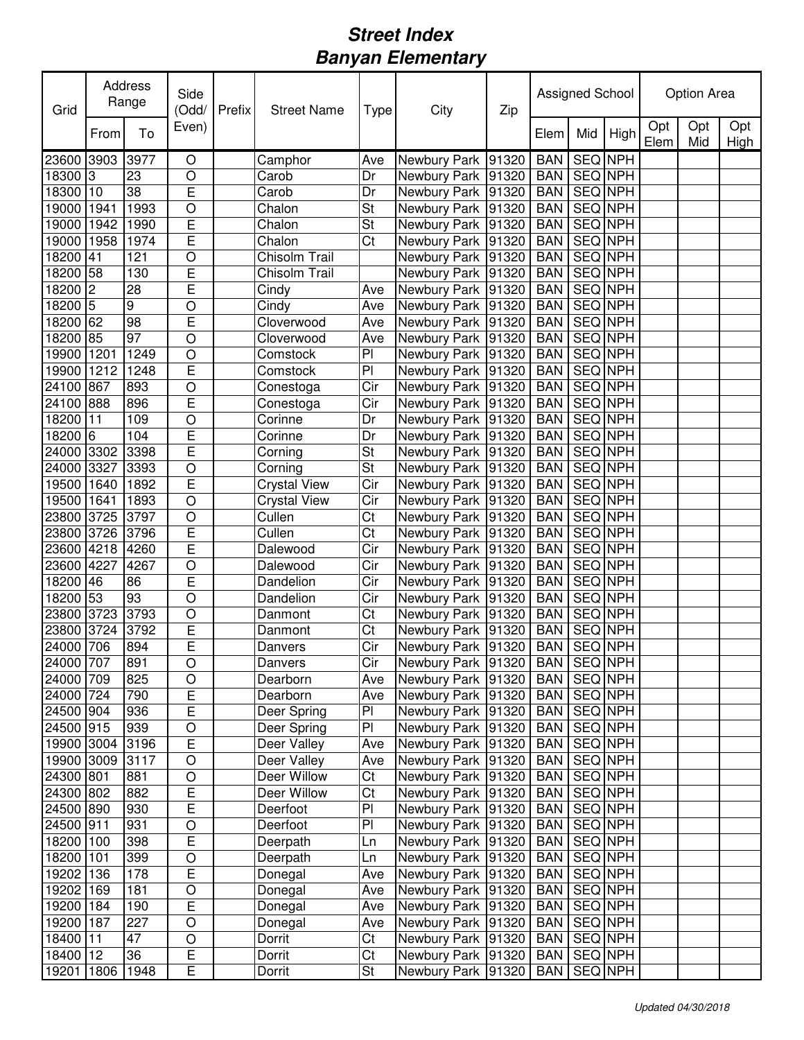| Opt<br>Opt<br>Even)<br>To<br>Mid<br>High<br>From<br>Elem<br>Elem<br>Mid<br><b>SEQ NPH</b><br>23600<br>3903<br>3977<br>O<br>Newbury Park 91320<br><b>BAN</b><br>Camphor<br>Ave<br>SEQ NPH<br>3<br>$\circ$<br>18300<br>23<br>Dr<br>Newbury Park 91320<br><b>BAN</b><br>Carob<br>E<br>38<br>18300 10<br>Dr<br>SEQ NPH<br>Newbury Park 91320<br><b>BAN</b><br>Carob<br>$\circ$<br>St<br>1993<br>SEQ NPH<br>19000<br>1941<br>Chalon<br>Newbury Park 91320<br><b>BAN</b><br>E<br>St<br>SEQ NPH<br>19000<br>1942<br>1990<br>Chalon<br>Newbury Park 91320<br><b>BAN</b><br>E<br>Ct<br>SEQ NPH<br>19000<br>1958<br>1974<br>Chalon<br><b>BAN</b><br>Newbury Park 91320<br>18200<br>$\circ$<br>Chisolm Trail<br>SEQ NPH<br>Newbury Park 91320<br>41<br>121<br><b>BAN</b><br>E<br>18200 58<br>SEQ NPH<br>130<br>Chisolm Trail<br>Newbury Park 91320<br><b>BAN</b><br>18200<br>2<br>E<br>SEQ NPH<br>Cindy<br>Newbury Park 91320<br>28<br><b>BAN</b><br>Ave<br>$18200$ 5<br>9<br>Cindy<br>SEQ NPH<br>Newbury Park 91320<br><b>BAN</b><br>$\circ$<br>Ave<br>18200 62<br>98<br>SEQ NPH<br>E<br>Cloverwood<br>Newbury Park 91320<br><b>BAN</b><br>Ave<br>18200<br>85<br>97<br>SEQ NPH<br>O<br>Cloverwood<br>Ave<br>Newbury Park 91320<br><b>BAN</b><br>P <sub>1</sub><br>Newbury Park 91320<br>SEQ NPH<br>19900 1201<br>1249<br>O<br><b>BAN</b><br>Comstock<br>$\overline{E}$<br>$\overline{P}$<br>19900<br>SEQ NPH<br>1212<br>1248<br>Newbury Park 91320<br><b>BAN</b><br>Comstock<br>$\overline{\text{Cir}}$<br><b>SEQ NPH</b><br>24100<br><b>BAN</b><br>867<br>893<br>$\circ$<br>Newbury Park 91320<br>Conestoga<br>$\overline{\text{Cir}}$<br>24100<br>E<br>SEQ NPH<br>888<br>896<br>Newbury Park 91320<br><b>BAN</b><br>Conestoga<br>18200 11<br><b>SEQ</b> NPH<br>109<br>$\circ$<br>Dr<br>Newbury Park 91320<br>Corinne<br><b>BAN</b><br>E<br>Dr<br><b>SEQ NPH</b><br>18200 6<br>104<br>Newbury Park 91320<br><b>BAN</b><br>Corinne<br>E<br>$\overline{\mathsf{St}}$<br>3398<br>SEQ NPH<br>24000<br>3302<br>Newbury Park 91320<br><b>BAN</b><br>Corning<br>St<br>$\circ$<br>SEQ NPH<br>24000<br>3327<br>3393<br>Newbury Park 91320<br><b>BAN</b><br>Corning<br>E<br>Cir<br>SEQ NPH<br>19500<br>1640<br>1892<br><b>Crystal View</b><br>Newbury Park 91320<br><b>BAN</b><br>$\circ$<br>SEQ NPH<br>19500<br>1641<br>1893<br><b>Crystal View</b><br>Cir<br>Newbury Park 91320<br><b>BAN</b><br>$\circ$<br>Cullen<br>Ct<br>SEQ NPH<br>23800<br>3725<br>3797<br><b>BAN</b><br>Newbury Park 91320 | Grid | Address<br>Range | Side<br>(Odd/  | Prefix | <b>Street Name</b> | Type | City | Zip | Assigned School |  | Option Area |             |
|---------------------------------------------------------------------------------------------------------------------------------------------------------------------------------------------------------------------------------------------------------------------------------------------------------------------------------------------------------------------------------------------------------------------------------------------------------------------------------------------------------------------------------------------------------------------------------------------------------------------------------------------------------------------------------------------------------------------------------------------------------------------------------------------------------------------------------------------------------------------------------------------------------------------------------------------------------------------------------------------------------------------------------------------------------------------------------------------------------------------------------------------------------------------------------------------------------------------------------------------------------------------------------------------------------------------------------------------------------------------------------------------------------------------------------------------------------------------------------------------------------------------------------------------------------------------------------------------------------------------------------------------------------------------------------------------------------------------------------------------------------------------------------------------------------------------------------------------------------------------------------------------------------------------------------------------------------------------------------------------------------------------------------------------------------------------------------------------------------------------------------------------------------------------------------------------------------------------------------------------------------------------------------------------------------------------------------------------------------------------------------------------------------------------------------------------------------------------------------|------|------------------|----------------|--------|--------------------|------|------|-----|-----------------|--|-------------|-------------|
|                                                                                                                                                                                                                                                                                                                                                                                                                                                                                                                                                                                                                                                                                                                                                                                                                                                                                                                                                                                                                                                                                                                                                                                                                                                                                                                                                                                                                                                                                                                                                                                                                                                                                                                                                                                                                                                                                                                                                                                                                                                                                                                                                                                                                                                                                                                                                                                                                                                                                 |      |                  |                |        |                    |      |      |     |                 |  |             | Opt<br>High |
|                                                                                                                                                                                                                                                                                                                                                                                                                                                                                                                                                                                                                                                                                                                                                                                                                                                                                                                                                                                                                                                                                                                                                                                                                                                                                                                                                                                                                                                                                                                                                                                                                                                                                                                                                                                                                                                                                                                                                                                                                                                                                                                                                                                                                                                                                                                                                                                                                                                                                 |      |                  |                |        |                    |      |      |     |                 |  |             |             |
|                                                                                                                                                                                                                                                                                                                                                                                                                                                                                                                                                                                                                                                                                                                                                                                                                                                                                                                                                                                                                                                                                                                                                                                                                                                                                                                                                                                                                                                                                                                                                                                                                                                                                                                                                                                                                                                                                                                                                                                                                                                                                                                                                                                                                                                                                                                                                                                                                                                                                 |      |                  |                |        |                    |      |      |     |                 |  |             |             |
|                                                                                                                                                                                                                                                                                                                                                                                                                                                                                                                                                                                                                                                                                                                                                                                                                                                                                                                                                                                                                                                                                                                                                                                                                                                                                                                                                                                                                                                                                                                                                                                                                                                                                                                                                                                                                                                                                                                                                                                                                                                                                                                                                                                                                                                                                                                                                                                                                                                                                 |      |                  |                |        |                    |      |      |     |                 |  |             |             |
|                                                                                                                                                                                                                                                                                                                                                                                                                                                                                                                                                                                                                                                                                                                                                                                                                                                                                                                                                                                                                                                                                                                                                                                                                                                                                                                                                                                                                                                                                                                                                                                                                                                                                                                                                                                                                                                                                                                                                                                                                                                                                                                                                                                                                                                                                                                                                                                                                                                                                 |      |                  |                |        |                    |      |      |     |                 |  |             |             |
|                                                                                                                                                                                                                                                                                                                                                                                                                                                                                                                                                                                                                                                                                                                                                                                                                                                                                                                                                                                                                                                                                                                                                                                                                                                                                                                                                                                                                                                                                                                                                                                                                                                                                                                                                                                                                                                                                                                                                                                                                                                                                                                                                                                                                                                                                                                                                                                                                                                                                 |      |                  |                |        |                    |      |      |     |                 |  |             |             |
|                                                                                                                                                                                                                                                                                                                                                                                                                                                                                                                                                                                                                                                                                                                                                                                                                                                                                                                                                                                                                                                                                                                                                                                                                                                                                                                                                                                                                                                                                                                                                                                                                                                                                                                                                                                                                                                                                                                                                                                                                                                                                                                                                                                                                                                                                                                                                                                                                                                                                 |      |                  |                |        |                    |      |      |     |                 |  |             |             |
|                                                                                                                                                                                                                                                                                                                                                                                                                                                                                                                                                                                                                                                                                                                                                                                                                                                                                                                                                                                                                                                                                                                                                                                                                                                                                                                                                                                                                                                                                                                                                                                                                                                                                                                                                                                                                                                                                                                                                                                                                                                                                                                                                                                                                                                                                                                                                                                                                                                                                 |      |                  |                |        |                    |      |      |     |                 |  |             |             |
|                                                                                                                                                                                                                                                                                                                                                                                                                                                                                                                                                                                                                                                                                                                                                                                                                                                                                                                                                                                                                                                                                                                                                                                                                                                                                                                                                                                                                                                                                                                                                                                                                                                                                                                                                                                                                                                                                                                                                                                                                                                                                                                                                                                                                                                                                                                                                                                                                                                                                 |      |                  |                |        |                    |      |      |     |                 |  |             |             |
|                                                                                                                                                                                                                                                                                                                                                                                                                                                                                                                                                                                                                                                                                                                                                                                                                                                                                                                                                                                                                                                                                                                                                                                                                                                                                                                                                                                                                                                                                                                                                                                                                                                                                                                                                                                                                                                                                                                                                                                                                                                                                                                                                                                                                                                                                                                                                                                                                                                                                 |      |                  |                |        |                    |      |      |     |                 |  |             |             |
|                                                                                                                                                                                                                                                                                                                                                                                                                                                                                                                                                                                                                                                                                                                                                                                                                                                                                                                                                                                                                                                                                                                                                                                                                                                                                                                                                                                                                                                                                                                                                                                                                                                                                                                                                                                                                                                                                                                                                                                                                                                                                                                                                                                                                                                                                                                                                                                                                                                                                 |      |                  |                |        |                    |      |      |     |                 |  |             |             |
|                                                                                                                                                                                                                                                                                                                                                                                                                                                                                                                                                                                                                                                                                                                                                                                                                                                                                                                                                                                                                                                                                                                                                                                                                                                                                                                                                                                                                                                                                                                                                                                                                                                                                                                                                                                                                                                                                                                                                                                                                                                                                                                                                                                                                                                                                                                                                                                                                                                                                 |      |                  |                |        |                    |      |      |     |                 |  |             |             |
|                                                                                                                                                                                                                                                                                                                                                                                                                                                                                                                                                                                                                                                                                                                                                                                                                                                                                                                                                                                                                                                                                                                                                                                                                                                                                                                                                                                                                                                                                                                                                                                                                                                                                                                                                                                                                                                                                                                                                                                                                                                                                                                                                                                                                                                                                                                                                                                                                                                                                 |      |                  |                |        |                    |      |      |     |                 |  |             |             |
|                                                                                                                                                                                                                                                                                                                                                                                                                                                                                                                                                                                                                                                                                                                                                                                                                                                                                                                                                                                                                                                                                                                                                                                                                                                                                                                                                                                                                                                                                                                                                                                                                                                                                                                                                                                                                                                                                                                                                                                                                                                                                                                                                                                                                                                                                                                                                                                                                                                                                 |      |                  |                |        |                    |      |      |     |                 |  |             |             |
|                                                                                                                                                                                                                                                                                                                                                                                                                                                                                                                                                                                                                                                                                                                                                                                                                                                                                                                                                                                                                                                                                                                                                                                                                                                                                                                                                                                                                                                                                                                                                                                                                                                                                                                                                                                                                                                                                                                                                                                                                                                                                                                                                                                                                                                                                                                                                                                                                                                                                 |      |                  |                |        |                    |      |      |     |                 |  |             |             |
|                                                                                                                                                                                                                                                                                                                                                                                                                                                                                                                                                                                                                                                                                                                                                                                                                                                                                                                                                                                                                                                                                                                                                                                                                                                                                                                                                                                                                                                                                                                                                                                                                                                                                                                                                                                                                                                                                                                                                                                                                                                                                                                                                                                                                                                                                                                                                                                                                                                                                 |      |                  |                |        |                    |      |      |     |                 |  |             |             |
|                                                                                                                                                                                                                                                                                                                                                                                                                                                                                                                                                                                                                                                                                                                                                                                                                                                                                                                                                                                                                                                                                                                                                                                                                                                                                                                                                                                                                                                                                                                                                                                                                                                                                                                                                                                                                                                                                                                                                                                                                                                                                                                                                                                                                                                                                                                                                                                                                                                                                 |      |                  |                |        |                    |      |      |     |                 |  |             |             |
|                                                                                                                                                                                                                                                                                                                                                                                                                                                                                                                                                                                                                                                                                                                                                                                                                                                                                                                                                                                                                                                                                                                                                                                                                                                                                                                                                                                                                                                                                                                                                                                                                                                                                                                                                                                                                                                                                                                                                                                                                                                                                                                                                                                                                                                                                                                                                                                                                                                                                 |      |                  |                |        |                    |      |      |     |                 |  |             |             |
|                                                                                                                                                                                                                                                                                                                                                                                                                                                                                                                                                                                                                                                                                                                                                                                                                                                                                                                                                                                                                                                                                                                                                                                                                                                                                                                                                                                                                                                                                                                                                                                                                                                                                                                                                                                                                                                                                                                                                                                                                                                                                                                                                                                                                                                                                                                                                                                                                                                                                 |      |                  |                |        |                    |      |      |     |                 |  |             |             |
|                                                                                                                                                                                                                                                                                                                                                                                                                                                                                                                                                                                                                                                                                                                                                                                                                                                                                                                                                                                                                                                                                                                                                                                                                                                                                                                                                                                                                                                                                                                                                                                                                                                                                                                                                                                                                                                                                                                                                                                                                                                                                                                                                                                                                                                                                                                                                                                                                                                                                 |      |                  |                |        |                    |      |      |     |                 |  |             |             |
|                                                                                                                                                                                                                                                                                                                                                                                                                                                                                                                                                                                                                                                                                                                                                                                                                                                                                                                                                                                                                                                                                                                                                                                                                                                                                                                                                                                                                                                                                                                                                                                                                                                                                                                                                                                                                                                                                                                                                                                                                                                                                                                                                                                                                                                                                                                                                                                                                                                                                 |      |                  |                |        |                    |      |      |     |                 |  |             |             |
|                                                                                                                                                                                                                                                                                                                                                                                                                                                                                                                                                                                                                                                                                                                                                                                                                                                                                                                                                                                                                                                                                                                                                                                                                                                                                                                                                                                                                                                                                                                                                                                                                                                                                                                                                                                                                                                                                                                                                                                                                                                                                                                                                                                                                                                                                                                                                                                                                                                                                 |      |                  |                |        |                    |      |      |     |                 |  |             |             |
|                                                                                                                                                                                                                                                                                                                                                                                                                                                                                                                                                                                                                                                                                                                                                                                                                                                                                                                                                                                                                                                                                                                                                                                                                                                                                                                                                                                                                                                                                                                                                                                                                                                                                                                                                                                                                                                                                                                                                                                                                                                                                                                                                                                                                                                                                                                                                                                                                                                                                 |      |                  |                |        |                    |      |      |     |                 |  |             |             |
|                                                                                                                                                                                                                                                                                                                                                                                                                                                                                                                                                                                                                                                                                                                                                                                                                                                                                                                                                                                                                                                                                                                                                                                                                                                                                                                                                                                                                                                                                                                                                                                                                                                                                                                                                                                                                                                                                                                                                                                                                                                                                                                                                                                                                                                                                                                                                                                                                                                                                 |      |                  |                |        |                    |      |      |     |                 |  |             |             |
| 23800<br>3726<br>3796<br>Cullen<br>SEQ NPH<br>Newbury Park 91320<br><b>BAN</b>                                                                                                                                                                                                                                                                                                                                                                                                                                                                                                                                                                                                                                                                                                                                                                                                                                                                                                                                                                                                                                                                                                                                                                                                                                                                                                                                                                                                                                                                                                                                                                                                                                                                                                                                                                                                                                                                                                                                                                                                                                                                                                                                                                                                                                                                                                                                                                                                  |      |                  | $\overline{E}$ |        |                    | Ct   |      |     |                 |  |             |             |
| E<br>SEQ NPH<br>23600 4218<br>4260<br>Cir<br>Newbury Park 91320<br><b>BAN</b><br>Dalewood                                                                                                                                                                                                                                                                                                                                                                                                                                                                                                                                                                                                                                                                                                                                                                                                                                                                                                                                                                                                                                                                                                                                                                                                                                                                                                                                                                                                                                                                                                                                                                                                                                                                                                                                                                                                                                                                                                                                                                                                                                                                                                                                                                                                                                                                                                                                                                                       |      |                  |                |        |                    |      |      |     |                 |  |             |             |
| 23600 4227<br>4267<br>$\circ$<br>Cir<br>Newbury Park 91320<br><b>BAN</b><br>SEQ NPH<br>Dalewood                                                                                                                                                                                                                                                                                                                                                                                                                                                                                                                                                                                                                                                                                                                                                                                                                                                                                                                                                                                                                                                                                                                                                                                                                                                                                                                                                                                                                                                                                                                                                                                                                                                                                                                                                                                                                                                                                                                                                                                                                                                                                                                                                                                                                                                                                                                                                                                 |      |                  |                |        |                    |      |      |     |                 |  |             |             |
| E<br>18200<br>Cir<br>SEQ NPH<br>Dandelion<br>Newbury Park 91320<br><b>BAN</b><br>46<br>86                                                                                                                                                                                                                                                                                                                                                                                                                                                                                                                                                                                                                                                                                                                                                                                                                                                                                                                                                                                                                                                                                                                                                                                                                                                                                                                                                                                                                                                                                                                                                                                                                                                                                                                                                                                                                                                                                                                                                                                                                                                                                                                                                                                                                                                                                                                                                                                       |      |                  |                |        |                    |      |      |     |                 |  |             |             |
| 18200 53<br>$\circ$<br>SEQ NPH<br>93<br>Dandelion<br>Cir<br>Newbury Park 91320<br><b>BAN</b>                                                                                                                                                                                                                                                                                                                                                                                                                                                                                                                                                                                                                                                                                                                                                                                                                                                                                                                                                                                                                                                                                                                                                                                                                                                                                                                                                                                                                                                                                                                                                                                                                                                                                                                                                                                                                                                                                                                                                                                                                                                                                                                                                                                                                                                                                                                                                                                    |      |                  |                |        |                    |      |      |     |                 |  |             |             |
| $\circ$<br>Ct<br>SEQ NPH<br>23800 3723<br>3793<br>Newbury Park 91320<br><b>BAN</b><br>Danmont                                                                                                                                                                                                                                                                                                                                                                                                                                                                                                                                                                                                                                                                                                                                                                                                                                                                                                                                                                                                                                                                                                                                                                                                                                                                                                                                                                                                                                                                                                                                                                                                                                                                                                                                                                                                                                                                                                                                                                                                                                                                                                                                                                                                                                                                                                                                                                                   |      |                  |                |        |                    |      |      |     |                 |  |             |             |
| E<br>Ct<br><b>SEQ NPH</b><br>23800<br>3724<br>3792<br>Newbury Park 91320<br><b>BAN</b><br>Danmont                                                                                                                                                                                                                                                                                                                                                                                                                                                                                                                                                                                                                                                                                                                                                                                                                                                                                                                                                                                                                                                                                                                                                                                                                                                                                                                                                                                                                                                                                                                                                                                                                                                                                                                                                                                                                                                                                                                                                                                                                                                                                                                                                                                                                                                                                                                                                                               |      |                  |                |        |                    |      |      |     |                 |  |             |             |
| E<br>Cir<br>SEQ NPH<br>24000 706<br><b>BAN</b><br>Newbury Park 91320<br>894<br>Danvers                                                                                                                                                                                                                                                                                                                                                                                                                                                                                                                                                                                                                                                                                                                                                                                                                                                                                                                                                                                                                                                                                                                                                                                                                                                                                                                                                                                                                                                                                                                                                                                                                                                                                                                                                                                                                                                                                                                                                                                                                                                                                                                                                                                                                                                                                                                                                                                          |      |                  |                |        |                    |      |      |     |                 |  |             |             |
| 24000 707<br>Newbury Park 91320 BAN<br>SEQ NPH<br>891<br>$\bigcirc$<br>Cir<br>Danvers                                                                                                                                                                                                                                                                                                                                                                                                                                                                                                                                                                                                                                                                                                                                                                                                                                                                                                                                                                                                                                                                                                                                                                                                                                                                                                                                                                                                                                                                                                                                                                                                                                                                                                                                                                                                                                                                                                                                                                                                                                                                                                                                                                                                                                                                                                                                                                                           |      |                  |                |        |                    |      |      |     |                 |  |             |             |
| 24000 709<br>SEQ NPH<br>825<br>$\circ$<br>Newbury Park   91320  <br>Ave<br><b>BAN</b><br>Dearborn                                                                                                                                                                                                                                                                                                                                                                                                                                                                                                                                                                                                                                                                                                                                                                                                                                                                                                                                                                                                                                                                                                                                                                                                                                                                                                                                                                                                                                                                                                                                                                                                                                                                                                                                                                                                                                                                                                                                                                                                                                                                                                                                                                                                                                                                                                                                                                               |      |                  |                |        |                    |      |      |     |                 |  |             |             |
| 24000 724<br>E<br>Newbury Park   91320<br>BAN   SEQ NPH<br>790<br>Dearborn<br>Ave                                                                                                                                                                                                                                                                                                                                                                                                                                                                                                                                                                                                                                                                                                                                                                                                                                                                                                                                                                                                                                                                                                                                                                                                                                                                                                                                                                                                                                                                                                                                                                                                                                                                                                                                                                                                                                                                                                                                                                                                                                                                                                                                                                                                                                                                                                                                                                                               |      |                  |                |        |                    |      |      |     |                 |  |             |             |
| $\overline{E}$<br>$\overline{P}$<br>24500 904<br>SEQ NPH<br>936<br>Deer Spring<br>Newbury Park 91320<br><b>BAN</b>                                                                                                                                                                                                                                                                                                                                                                                                                                                                                                                                                                                                                                                                                                                                                                                                                                                                                                                                                                                                                                                                                                                                                                                                                                                                                                                                                                                                                                                                                                                                                                                                                                                                                                                                                                                                                                                                                                                                                                                                                                                                                                                                                                                                                                                                                                                                                              |      |                  |                |        |                    |      |      |     |                 |  |             |             |
| P <sub>1</sub><br>SEQ NPH<br>24500 915<br>939<br>$\bigcirc$<br>Deer Spring<br>Newbury Park 91320<br><b>BAN</b>                                                                                                                                                                                                                                                                                                                                                                                                                                                                                                                                                                                                                                                                                                                                                                                                                                                                                                                                                                                                                                                                                                                                                                                                                                                                                                                                                                                                                                                                                                                                                                                                                                                                                                                                                                                                                                                                                                                                                                                                                                                                                                                                                                                                                                                                                                                                                                  |      |                  |                |        |                    |      |      |     |                 |  |             |             |
| $\overline{E}$<br>SEQ NPH<br>19900 3004<br>3196<br>Deer Valley<br>Newbury Park 91320<br><b>BAN</b><br>Ave                                                                                                                                                                                                                                                                                                                                                                                                                                                                                                                                                                                                                                                                                                                                                                                                                                                                                                                                                                                                                                                                                                                                                                                                                                                                                                                                                                                                                                                                                                                                                                                                                                                                                                                                                                                                                                                                                                                                                                                                                                                                                                                                                                                                                                                                                                                                                                       |      |                  |                |        |                    |      |      |     |                 |  |             |             |
| Deer Valley<br>19900 3009<br>3117<br>$\circ$<br>Newbury Park 91320<br>SEQ NPH<br>Ave<br><b>BAN</b>                                                                                                                                                                                                                                                                                                                                                                                                                                                                                                                                                                                                                                                                                                                                                                                                                                                                                                                                                                                                                                                                                                                                                                                                                                                                                                                                                                                                                                                                                                                                                                                                                                                                                                                                                                                                                                                                                                                                                                                                                                                                                                                                                                                                                                                                                                                                                                              |      |                  |                |        |                    |      |      |     |                 |  |             |             |
| Deer Willow<br>Ct<br>SEQ NPH<br>24300 801<br>881<br>$\circ$<br>Newbury Park 91320<br><b>BAN</b>                                                                                                                                                                                                                                                                                                                                                                                                                                                                                                                                                                                                                                                                                                                                                                                                                                                                                                                                                                                                                                                                                                                                                                                                                                                                                                                                                                                                                                                                                                                                                                                                                                                                                                                                                                                                                                                                                                                                                                                                                                                                                                                                                                                                                                                                                                                                                                                 |      |                  |                |        |                    |      |      |     |                 |  |             |             |
| $\overline{E}$<br>$\overline{\text{C}t}$<br>SEQ NPH<br>24300 802<br>Deer Willow<br>Newbury Park 91320<br><b>BAN</b><br>882                                                                                                                                                                                                                                                                                                                                                                                                                                                                                                                                                                                                                                                                                                                                                                                                                                                                                                                                                                                                                                                                                                                                                                                                                                                                                                                                                                                                                                                                                                                                                                                                                                                                                                                                                                                                                                                                                                                                                                                                                                                                                                                                                                                                                                                                                                                                                      |      |                  |                |        |                    |      |      |     |                 |  |             |             |
| E<br>$\overline{P}$<br>SEQ NPH<br>24500 890<br>Deerfoot<br>Newbury Park 91320<br>930<br><b>BAN</b>                                                                                                                                                                                                                                                                                                                                                                                                                                                                                                                                                                                                                                                                                                                                                                                                                                                                                                                                                                                                                                                                                                                                                                                                                                                                                                                                                                                                                                                                                                                                                                                                                                                                                                                                                                                                                                                                                                                                                                                                                                                                                                                                                                                                                                                                                                                                                                              |      |                  |                |        |                    |      |      |     |                 |  |             |             |
| P <sub>1</sub><br>Newbury Park 91320<br>24500 911<br>Deerfoot<br>SEQ NPH<br>931<br>O<br><b>BAN</b>                                                                                                                                                                                                                                                                                                                                                                                                                                                                                                                                                                                                                                                                                                                                                                                                                                                                                                                                                                                                                                                                                                                                                                                                                                                                                                                                                                                                                                                                                                                                                                                                                                                                                                                                                                                                                                                                                                                                                                                                                                                                                                                                                                                                                                                                                                                                                                              |      |                  |                |        |                    |      |      |     |                 |  |             |             |
| E<br>Newbury Park 91320<br>18200 100<br>SEQ NPH<br>398<br>Deerpath<br>Ln<br><b>BAN</b>                                                                                                                                                                                                                                                                                                                                                                                                                                                                                                                                                                                                                                                                                                                                                                                                                                                                                                                                                                                                                                                                                                                                                                                                                                                                                                                                                                                                                                                                                                                                                                                                                                                                                                                                                                                                                                                                                                                                                                                                                                                                                                                                                                                                                                                                                                                                                                                          |      |                  |                |        |                    |      |      |     |                 |  |             |             |
| SEQ NPH<br>18200 101<br>Ln<br>Newbury Park 91320<br>399<br>O<br>Deerpath<br><b>BAN</b>                                                                                                                                                                                                                                                                                                                                                                                                                                                                                                                                                                                                                                                                                                                                                                                                                                                                                                                                                                                                                                                                                                                                                                                                                                                                                                                                                                                                                                                                                                                                                                                                                                                                                                                                                                                                                                                                                                                                                                                                                                                                                                                                                                                                                                                                                                                                                                                          |      |                  |                |        |                    |      |      |     |                 |  |             |             |
| E<br>Newbury Park 91320<br>19202 136<br><b>BAN</b><br>SEQ NPH<br>178<br>Donegal<br>Ave                                                                                                                                                                                                                                                                                                                                                                                                                                                                                                                                                                                                                                                                                                                                                                                                                                                                                                                                                                                                                                                                                                                                                                                                                                                                                                                                                                                                                                                                                                                                                                                                                                                                                                                                                                                                                                                                                                                                                                                                                                                                                                                                                                                                                                                                                                                                                                                          |      |                  |                |        |                    |      |      |     |                 |  |             |             |
| Newbury Park 91320<br>SEQ NPH<br>19202 169<br>181<br>$\bigcirc$<br>Ave<br><b>BAN</b><br>Donegal                                                                                                                                                                                                                                                                                                                                                                                                                                                                                                                                                                                                                                                                                                                                                                                                                                                                                                                                                                                                                                                                                                                                                                                                                                                                                                                                                                                                                                                                                                                                                                                                                                                                                                                                                                                                                                                                                                                                                                                                                                                                                                                                                                                                                                                                                                                                                                                 |      |                  |                |        |                    |      |      |     |                 |  |             |             |
| $\mathsf E$<br>19200 184<br>Newbury Park 91320<br><b>BAN</b><br>SEQ NPH<br>190<br>Donegal<br>Ave                                                                                                                                                                                                                                                                                                                                                                                                                                                                                                                                                                                                                                                                                                                                                                                                                                                                                                                                                                                                                                                                                                                                                                                                                                                                                                                                                                                                                                                                                                                                                                                                                                                                                                                                                                                                                                                                                                                                                                                                                                                                                                                                                                                                                                                                                                                                                                                |      |                  |                |        |                    |      |      |     |                 |  |             |             |
| SEQ NPH<br>19200 187<br>227<br>$\bigcirc$<br>Newbury Park 91320<br><b>BAN</b><br>Donegal<br>Ave                                                                                                                                                                                                                                                                                                                                                                                                                                                                                                                                                                                                                                                                                                                                                                                                                                                                                                                                                                                                                                                                                                                                                                                                                                                                                                                                                                                                                                                                                                                                                                                                                                                                                                                                                                                                                                                                                                                                                                                                                                                                                                                                                                                                                                                                                                                                                                                 |      |                  |                |        |                    |      |      |     |                 |  |             |             |
| $\circ$<br>Ct<br>SEQ NPH<br>18400 11<br>47<br>Newbury Park 91320<br>Dorrit<br><b>BAN</b>                                                                                                                                                                                                                                                                                                                                                                                                                                                                                                                                                                                                                                                                                                                                                                                                                                                                                                                                                                                                                                                                                                                                                                                                                                                                                                                                                                                                                                                                                                                                                                                                                                                                                                                                                                                                                                                                                                                                                                                                                                                                                                                                                                                                                                                                                                                                                                                        |      |                  |                |        |                    |      |      |     |                 |  |             |             |
| E<br>Ct<br>18400 12<br>36<br>SEQ NPH<br>Dorrit<br>Newbury Park 91320<br><b>BAN</b>                                                                                                                                                                                                                                                                                                                                                                                                                                                                                                                                                                                                                                                                                                                                                                                                                                                                                                                                                                                                                                                                                                                                                                                                                                                                                                                                                                                                                                                                                                                                                                                                                                                                                                                                                                                                                                                                                                                                                                                                                                                                                                                                                                                                                                                                                                                                                                                              |      |                  |                |        |                    |      |      |     |                 |  |             |             |
| E<br>St<br>19201 1806 1948<br>Dorrit<br>SEQ NPH<br>Newbury Park 91320<br><b>BAN</b>                                                                                                                                                                                                                                                                                                                                                                                                                                                                                                                                                                                                                                                                                                                                                                                                                                                                                                                                                                                                                                                                                                                                                                                                                                                                                                                                                                                                                                                                                                                                                                                                                                                                                                                                                                                                                                                                                                                                                                                                                                                                                                                                                                                                                                                                                                                                                                                             |      |                  |                |        |                    |      |      |     |                 |  |             |             |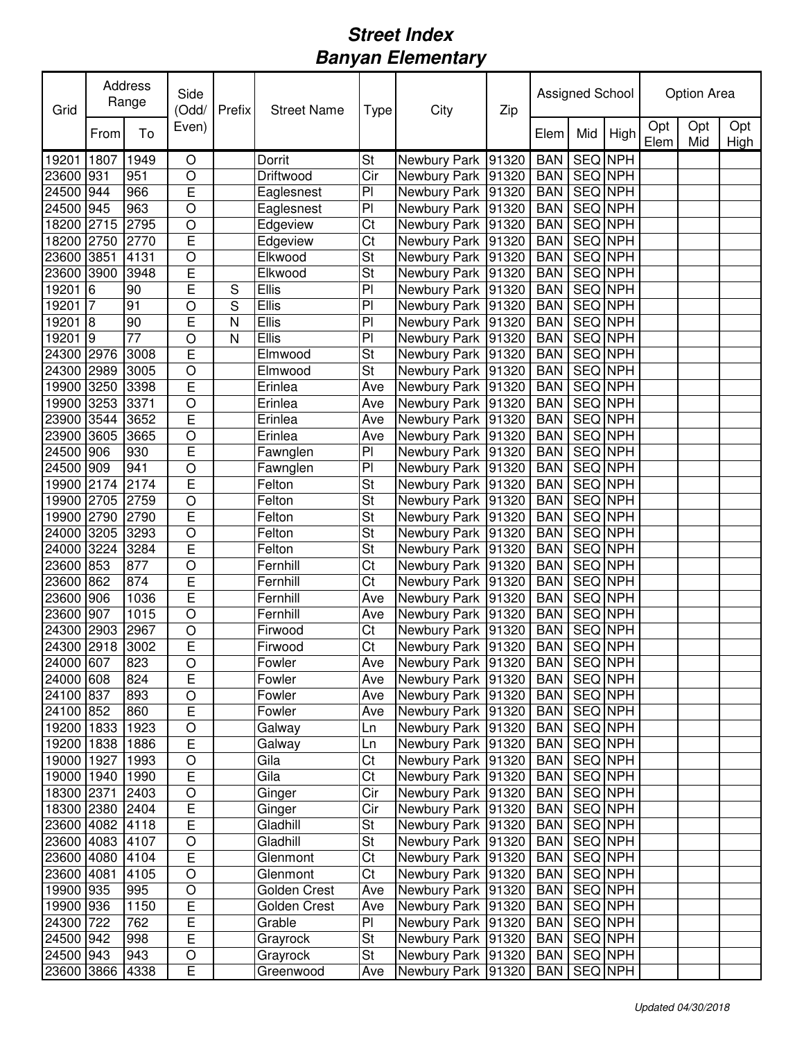| Grid                   |                     | Address<br>Range | Side<br>(Odd/       | Prefix | <b>Street Name</b>   | Type                                       | City                                     | Zip |                          | Assigned School    |         |             | Option Area |             |
|------------------------|---------------------|------------------|---------------------|--------|----------------------|--------------------------------------------|------------------------------------------|-----|--------------------------|--------------------|---------|-------------|-------------|-------------|
|                        | From                | To               | Even)               |        |                      |                                            |                                          |     | Elem                     | Mid                | High    | Opt<br>Elem | Opt<br>Mid  | Opt<br>High |
| 19201                  | 1807                | 1949             | O                   |        | Dorrit               | St                                         | Newbury Park 91320                       |     | <b>BAN</b>               | <b>SEQ NPH</b>     |         |             |             |             |
| 23600 931              |                     | 951              | $\circ$             |        | Driftwood            | Cir                                        | Newbury Park 91320                       |     | <b>BAN</b>               | SEQ NPH            |         |             |             |             |
| 24500                  | 944                 | 966              | Ē                   |        | Eaglesnest           | PI                                         | Newbury Park 91320                       |     | <b>BAN</b>               | <b>SEQ NPH</b>     |         |             |             |             |
| 24500                  | 945                 | 963              | $\circ$             |        | Eaglesnest           | P <sub>1</sub>                             | Newbury Park 91320                       |     | <b>BAN</b>               | SEQ NPH            |         |             |             |             |
| 18200                  | 2715                | 2795             | $\circ$             |        | Edgeview             | Ct                                         | Newbury Park 91320                       |     | <b>BAN</b>               | SEQ NPH            |         |             |             |             |
| 18200                  | 2750                | 2770             | E                   |        | Edgeview             | Ct                                         | Newbury Park 91320                       |     | <b>BAN</b>               | SEQ NPH            |         |             |             |             |
| 23600                  | 3851                | 4131             | $\circ$             |        | Elkwood              | St                                         | Newbury Park 91320                       |     | <b>BAN</b>               | SEQ NPH            |         |             |             |             |
| 23600<br>19201         | 3900                | 3948             | E<br>Ē              |        | Elkwood<br>Ellis     | $\overline{\mathsf{St}}$<br>$\overline{P}$ | Newbury Park 91320                       |     | <b>BAN</b>               | SEQ NPH<br>SEQ NPH |         |             |             |             |
| 19201                  | 6<br>$\overline{7}$ | 90<br>91         |                     | S      | Ellis                | $\overline{P}$                             | Newbury Park 91320                       |     | <b>BAN</b><br><b>BAN</b> | SEQ NPH            |         |             |             |             |
| 19201                  | 8                   | 90               | O<br>E              | S<br>N | <b>Ellis</b>         | $\overline{P}$                             | Newbury Park 91320<br>Newbury Park 91320 |     | <b>BAN</b>               | SEQ NPH            |         |             |             |             |
| 19201                  | 9                   | 77               | O                   | N      | Ellis                | P <sub>1</sub>                             | Newbury Park 91320                       |     | <b>BAN</b>               | SEQ NPH            |         |             |             |             |
| 24300 2976             |                     | 3008             | E                   |        | Elmwood              | <b>St</b>                                  | Newbury Park 91320                       |     | <b>BAN</b>               | SEQ NPH            |         |             |             |             |
| 24300                  | 2989                | 3005             | $\circ$             |        | Elmwood              | St                                         | Newbury Park 91320                       |     | <b>BAN</b>               | SEQ NPH            |         |             |             |             |
| 19900                  | 3250                | 3398             | E                   |        | Erinlea              | Ave                                        | Newbury Park 91320                       |     | <b>BAN</b>               | SEQ NPH            |         |             |             |             |
| 19900                  | 3253                | 3371             | $\circ$             |        | Erinlea              | Ave                                        | Newbury Park 91320                       |     | <b>BAN</b>               | <b>SEQ NPH</b>     |         |             |             |             |
| 23900                  | 3544                | 3652             | E                   |        | Erinlea              | Ave                                        | Newbury Park 91320                       |     | <b>BAN</b>               | SEQ NPH            |         |             |             |             |
| 23900                  | 3605                | 3665             | $\circ$             |        | Erinlea              | Ave                                        | Newbury Park 91320                       |     | <b>BAN</b>               | SEQ NPH            |         |             |             |             |
| 24500 906              |                     | 930              | E                   |        | Fawnglen             | P <sub>1</sub>                             | Newbury Park 91320                       |     | <b>BAN</b>               | <b>SEQ NPH</b>     |         |             |             |             |
| 24500                  | 909                 | 941              | $\circ$             |        | Fawnglen             | PI                                         | Newbury Park 91320                       |     | <b>BAN</b>               | SEQ NPH            |         |             |             |             |
| 19900 2174             |                     | 2174             | E                   |        | Felton               | St                                         | Newbury Park 91320                       |     | <b>BAN</b>               | SEQ NPH            |         |             |             |             |
| 19900                  | 2705                | 2759             | $\circ$             |        | Felton               | St                                         | Newbury Park 91320                       |     | <b>BAN</b>               | SEQ NPH            |         |             |             |             |
| 19900                  | 2790                | 2790             | E                   |        | Felton               | St                                         | Newbury Park 91320                       |     | <b>BAN</b>               | SEQ NPH            |         |             |             |             |
| 24000                  | 3205                | 3293             | $\circ$             |        | Felton               | St                                         | Newbury Park 91320                       |     | <b>BAN</b>               |                    | SEQ NPH |             |             |             |
| 24000                  | 3224                | 3284             | $\overline{E}$      |        | Felton               | St                                         | Newbury Park 91320                       |     | <b>BAN</b>               | SEQ NPH            |         |             |             |             |
| 23600 853              |                     | 877              | $\circ$             |        | Fernhill             | Ct                                         | Newbury Park 91320                       |     | <b>BAN</b>               | SEQ NPH            |         |             |             |             |
| 23600 862              |                     | 874              | E                   |        | Fernhill             | Ct                                         | Newbury Park 91320                       |     | <b>BAN</b>               | SEQ NPH            |         |             |             |             |
| 23600                  | 906                 | 1036             | E                   |        | Fernhill             | Ave                                        | Newbury Park 91320                       |     | <b>BAN</b>               | SEQ NPH            |         |             |             |             |
| 23600                  | 907                 | 1015             | $\circ$             |        | Fernhill             | Ave                                        | Newbury Park 91320                       |     | <b>BAN</b>               | SEQ NPH            |         |             |             |             |
| 24300                  | 2903                | 2967             | $\circ$             |        | Firwood              | Ct                                         | Newbury Park 91320                       |     | <b>BAN</b>               | SEQ NPH            |         |             |             |             |
| 24300 2918             |                     | 3002             | E                   |        | Firwood              | Ct                                         | Newbury Park 91320                       |     | <b>BAN</b>               | <b>SEQ NPH</b>     |         |             |             |             |
| 24000 607              |                     | 823              | $\circ$             |        | Fowler               | Ave                                        | Newbury Park 91320 BAN SEQ NPH           |     |                          |                    |         |             |             |             |
| 24000 608              |                     | 824              | E                   |        | Fowler               | Ave                                        | Newbury Park 91320                       |     | <b>BAN</b>               | SEQ NPH            |         |             |             |             |
| 24100 837              |                     | 893              | $\circ$             |        | Fowler               | Ave                                        | Newbury Park 91320                       |     | <b>BAN</b>               | SEQ NPH            |         |             |             |             |
| 24100 852              |                     | 860              | E                   |        | Fowler               | Ave                                        | Newbury Park 91320                       |     | <b>BAN</b>               | SEQ NPH            |         |             |             |             |
| 19200 1833             |                     | 1923             | $\circ$             |        | Galway               | Ln                                         | Newbury Park 91320                       |     | <b>BAN</b>               | SEQ NPH            |         |             |             |             |
| 19200 1838             |                     | 1886             | E                   |        | Galway               | Ln                                         | Newbury Park 91320                       |     | <b>BAN</b>               | SEQ NPH            |         |             |             |             |
| 19000 1927             |                     | 1993             | $\circ$             |        | Gila                 | Ct                                         | Newbury Park 91320                       |     | <b>BAN</b>               | SEQ NPH            |         |             |             |             |
| 19000 1940             |                     | 1990             | E                   |        | Gila                 | Ct                                         | Newbury Park 91320                       |     | <b>BAN</b>               |                    | SEQ NPH |             |             |             |
| 18300 2371             |                     | 2403             | $\circ$             |        | Ginger               | Cir                                        | Newbury Park 91320                       |     | <b>BAN</b>               |                    | SEQ NPH |             |             |             |
| 18300 2380             |                     | 2404             | $\overline{E}$      |        | Ginger               | Cir                                        | Newbury Park 91320                       |     | <b>BAN</b>               |                    | SEQ NPH |             |             |             |
| 23600 4082             |                     | 4118             | $\overline{E}$      |        | Gladhill             | St                                         | Newbury Park 91320                       |     | <b>BAN</b>               |                    | SEQ NPH |             |             |             |
| 23600 4083             |                     | 4107             | O                   |        | Gladhill             | <b>St</b>                                  | Newbury Park 91320                       |     | <b>BAN</b>               |                    | SEQ NPH |             |             |             |
| 23600 4080             |                     | 4104             | E                   |        | Glenmont             | Ct                                         | Newbury Park 91320                       |     | <b>BAN</b>               | SEQ NPH            |         |             |             |             |
| 23600 4081             |                     | 4105             | O                   |        | Glenmont             | Ct                                         | Newbury Park 91320                       |     | <b>BAN</b>               | SEQ NPH            |         |             |             |             |
| 19900 935              |                     | 995              | $\bigcirc$          |        | Golden Crest         | Ave                                        | Newbury Park 91320                       |     | <b>BAN</b>               | SEQ NPH            |         |             |             |             |
| 19900 936              |                     | 1150             | E                   |        | Golden Crest         | Ave                                        | Newbury Park 91320                       |     | <b>BAN</b>               | SEQ NPH            |         |             |             |             |
| 24300 722<br>24500 942 |                     | 762              | E<br>$\overline{E}$ |        | Grable               | PI<br>$\overline{\mathsf{St}}$             | Newbury Park 91320                       |     | <b>BAN</b>               | SEQ NPH            | SEQ NPH |             |             |             |
| 24500 943              |                     | 998<br>943       | $\bigcirc$          |        | Grayrock<br>Grayrock | St                                         | Newbury Park 91320<br>Newbury Park 91320 |     | <b>BAN</b><br><b>BAN</b> | SEQ NPH            |         |             |             |             |
|                        |                     |                  | E                   |        |                      | Ave                                        |                                          |     | <b>BAN</b>               | SEQ NPH            |         |             |             |             |
| 23600 3866 4338        |                     |                  |                     |        | Greenwood            |                                            | Newbury Park 91320                       |     |                          |                    |         |             |             |             |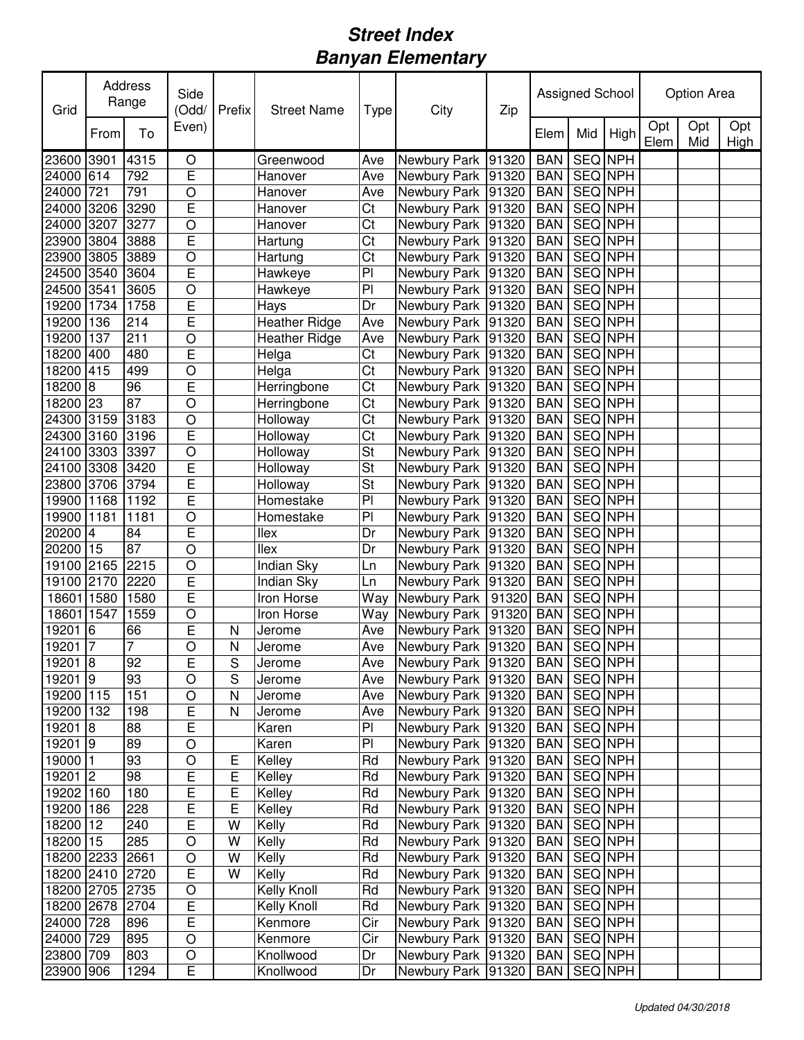| Opt<br>Opt<br>Opt<br>Even)<br>To<br>Mid<br>High<br>From<br>Elem<br>Elem<br>Mid<br>High<br><b>SEQ NPH</b><br>23600<br>3901<br>4315<br>O<br>Newbury Park 91320<br><b>BAN</b><br>Greenwood<br>Ave<br>E<br><b>SEQ NPH</b><br>$61\overline{4}$<br>792<br>Newbury Park 91320<br><b>BAN</b><br>Ave<br>Hanover<br>721<br>791<br>$\circ$<br>SEQ NPH<br>Ave<br>Newbury Park 91320<br><b>BAN</b><br>Hanover<br>E<br>SEQ NPH<br>3206<br>3290<br>Ct<br>Newbury Park 91320<br><b>BAN</b><br>Hanover<br>$\circ$<br>Ct<br>SEQ NPH<br>24000<br>3207<br>3277<br>Newbury Park 91320<br><b>BAN</b><br>Hanover<br>E<br>Ct<br>SEQ NPH<br>23900<br>3804<br>3888<br><b>BAN</b><br>Hartung<br>Newbury Park 91320<br>$\circ$<br>Ct<br>SEQ NPH<br>23900<br>3805<br>3889<br>Newbury Park 91320<br>Hartung<br><b>BAN</b><br>E<br>P <sub>1</sub><br>SEQ NPH<br>24500<br>3540<br>3604<br>Newbury Park 91320<br>Hawkeye<br><b>BAN</b><br>P <sub>1</sub><br>SEQ NPH<br>24500<br>3541<br>3605<br>$\circ$<br>Newbury Park 91320<br>Hawkeye<br><b>BAN</b><br>E<br>Dr<br>SEQ NPH<br>19200 1734<br>1758<br>Newbury Park 91320<br><b>BAN</b><br>Hays<br><b>Heather Ridge</b><br>19200<br>SEQ NPH<br>136<br>214<br>E<br>Newbury Park 91320<br><b>BAN</b><br>Ave<br>19200<br>SEQ NPH<br>137<br>211<br>$\circ$<br><b>Heather Ridge</b><br>Ave<br>Newbury Park 91320<br><b>BAN</b><br>E<br>Ct<br>Newbury Park 91320<br>SEQ NPH<br>18200<br>480<br>Helga<br><b>BAN</b><br>400<br>$\overline{\text{Ct}}$<br>18200 415<br>SEQ NPH<br>499<br>$\circ$<br>Helga<br>Newbury Park 91320<br><b>BAN</b><br>E<br>$\overline{\text{C}t}$<br><b>SEQ NPH</b><br><b>BAN</b><br>18200<br>8<br>96<br>Newbury Park 91320<br>Herringbone<br>18200 23<br>$\overline{\text{C}t}$<br>87<br>$\circ$<br><b>SEQ NPH</b><br>Herringbone<br>Newbury Park 91320<br><b>BAN</b><br>$\overline{\text{Ct}}$<br>3183<br>SEQ NPH<br>24300 3159<br>$\circ$<br>Holloway<br>Newbury Park 91320<br><b>BAN</b><br>E<br>Ct<br>24300 3160<br>3196<br>Holloway<br>Newbury Park 91320<br><b>BAN</b><br>SEQ NPH<br>$\overline{\mathsf{St}}$<br>24100 3303<br>$\circ$<br>SEQ NPH<br>3397<br>Newbury Park 91320<br><b>BAN</b><br>Holloway<br>E<br>St<br>SEQ NPH<br>24100 3308<br>3420<br>Holloway<br>Newbury Park 91320<br><b>BAN</b><br>E<br>St<br>SEQ NPH<br>3706<br>3794<br>Holloway<br>Newbury Park 91320<br><b>BAN</b><br>E<br>PI<br>SEQ NPH<br>19900 1168<br>1192<br>Homestake<br>Newbury Park 91320<br><b>BAN</b><br>PI<br>$\circ$<br>SEQ NPH<br>19900<br>1181<br>1181<br>Newbury Park 91320<br><b>BAN</b><br>Homestake<br>Ē<br>llex<br>Dr<br>Newbury Park 91320<br>SEQ NPH<br>4<br>84<br><b>BAN</b><br>87<br>20200 15<br>$\circ$<br>SEQ NPH<br>llex<br>Dr<br>Newbury Park 91320<br><b>BAN</b><br>19100 2165<br>$\circ$<br>2215<br>Indian Sky<br>Newbury Park 91320<br><b>BAN</b><br>SEQ NPH<br>Ln<br>$\overline{E}$<br>SEQ NPH<br>19100 2170<br>2220<br>Indian Sky<br>Ln<br>Newbury Park 91320<br><b>BAN</b><br>E<br><b>BAN</b><br>SEQ NPH<br>18601<br>1580<br>1580<br>Iron Horse<br>Way<br>Newbury Park<br>91320<br>18601<br>$\circ$<br><b>BAN</b><br>SEQ NPH<br>1547<br>1559<br>Iron Horse<br>Way<br>Newbury Park<br>91320<br>E<br>19201<br>SEQ NPH<br>6<br>$\mathsf{N}$<br>Newbury Park 91320<br><b>BAN</b><br>66<br>Jerome<br>Ave<br>7<br>$\circ$<br>SEQ NPH<br>19201<br>7<br>N<br>Newbury Park 91320<br><b>BAN</b><br>Ave<br>Jerome<br>19201 8<br>92<br>E<br>Newbury Park 91320 BAN SEQ NPH<br>S<br>Ave<br>Jerome<br>$19201$ 9<br>93<br>$\circ$<br>SEQ NPH<br>S<br>Newbury Park   91320  <br><b>BAN</b><br>Jerome<br>Ave<br>19200 115<br>151<br>Newbury Park 91320<br>BAN   SEQ NPH<br>O<br>Jerome<br>Ave<br>N<br>E<br>SEQ NPH<br>19200 132<br>198<br>Newbury Park 91320<br>$\mathsf{N}$<br>Ave<br><b>BAN</b><br>Jerome<br>E<br>88<br>PI<br>SEQ NPH<br>19201 8<br>Newbury Park 91320<br><b>BAN</b><br>Karen<br>$\overline{P}$<br>$19201$ 9<br>89<br>$\circ$<br>SEQ NPH<br>Newbury Park 91320<br><b>BAN</b><br>Karen<br>19000 1<br>93<br>$\bigcirc$<br>Kelley<br>Rd<br>Newbury Park 91320<br>SEQ NPH<br><b>BAN</b><br>Ε<br>$\overline{E}$<br>19201 2<br>98<br>E<br>Rd<br>SEQ NPH<br>Kelley<br>Newbury Park 91320<br><b>BAN</b><br>$\overline{E}$<br>Rd<br>Newbury Park 91320<br>SEQ NPH<br>19202 160<br>180<br>Е<br>Kelley<br><b>BAN</b><br>$\overline{E}$<br>Rd<br>SEQ NPH<br>19200 186<br>E<br>Kelley<br>Newbury Park 91320<br>228<br><b>BAN</b><br>Newbury Park 91320<br>18200 12<br>E<br>Kelly<br>Rd<br>SEQ NPH<br>240<br>W<br><b>BAN</b><br>Rd<br>18200 15<br>285<br>W<br>Kelly<br>Newbury Park 91320<br>SEQ NPH<br><b>BAN</b><br>O<br>Rd<br>SEQ NPH<br>18200 2233<br>W<br>Kelly<br>Newbury Park 91320<br>2661<br>$\circ$<br><b>BAN</b><br>18200 2410<br>E<br>W<br>Kelly<br>Rd<br>Newbury Park 91320<br><b>BAN</b><br>SEQ NPH<br>2720<br>Newbury Park 91320<br>SEQ NPH<br>18200 2705<br>$\circ$<br>Kelly Knoll<br>Rd<br><b>BAN</b><br>2735<br>$\mathsf E$<br>18200 2678<br>Newbury Park 91320<br>Kelly Knoll<br>Rd<br><b>BAN</b><br>SEQ NPH<br>2704<br>24000 728<br>E<br>Cir<br>SEQ NPH<br>896<br>Newbury Park 91320<br><b>BAN</b><br>Kenmore<br>24000 729<br>$\circ$<br>Cir<br>SEQ NPH<br>895<br>Newbury Park 91320<br>Kenmore<br><b>BAN</b><br>23800 709<br>$\bigcirc$<br>Dr<br>SEQ NPH<br>803<br>Newbury Park 91320<br>Knollwood<br><b>BAN</b><br>E<br>1294<br>Dr<br>SEQ NPH<br>23900 906<br>Knollwood<br>Newbury Park 91320<br><b>BAN</b> | Grid  | Address<br>Range | Side<br>(Odd/ | Prefix | <b>Street Name</b> | Type | City | Zip | Assigned School |  | Option Area |  |
|-----------------------------------------------------------------------------------------------------------------------------------------------------------------------------------------------------------------------------------------------------------------------------------------------------------------------------------------------------------------------------------------------------------------------------------------------------------------------------------------------------------------------------------------------------------------------------------------------------------------------------------------------------------------------------------------------------------------------------------------------------------------------------------------------------------------------------------------------------------------------------------------------------------------------------------------------------------------------------------------------------------------------------------------------------------------------------------------------------------------------------------------------------------------------------------------------------------------------------------------------------------------------------------------------------------------------------------------------------------------------------------------------------------------------------------------------------------------------------------------------------------------------------------------------------------------------------------------------------------------------------------------------------------------------------------------------------------------------------------------------------------------------------------------------------------------------------------------------------------------------------------------------------------------------------------------------------------------------------------------------------------------------------------------------------------------------------------------------------------------------------------------------------------------------------------------------------------------------------------------------------------------------------------------------------------------------------------------------------------------------------------------------------------------------------------------------------------------------------------------------------------------------------------------------------------------------------------------------------------------------------------------------------------------------------------------------------------------------------------------------------------------------------------------------------------------------------------------------------------------------------------------------------------------------------------------------------------------------------------------------------------------------------------------------------------------------------------------------------------------------------------------------------------------------------------------------------------------------------------------------------------------------------------------------------------------------------------------------------------------------------------------------------------------------------------------------------------------------------------------------------------------------------------------------------------------------------------------------------------------------------------------------------------------------------------------------------------------------------------------------------------------------------------------------------------------------------------------------------------------------------------------------------------------------------------------------------------------------------------------------------------------------------------------------------------------------------------------------------------------------------------------------------------------------------------------------------------------------------------------------------------------------------------------------------------------------------------------------------------------------------------------------------------------------------------------------------------------------------------------------------------------------------------------------------------------------------------------------------------------------------------------------------------------------------------------------------------------------------------------------------------------------------------------------------------------------------------------------------------------------------------------------------------------------------------------------------------------------------------------------------------------------------------------------------------------------------------------------------------------------------------------------------------------------------------------------------------------------------------------------------------------------------------------------------------------------------------------------------------------------|-------|------------------|---------------|--------|--------------------|------|------|-----|-----------------|--|-------------|--|
|                                                                                                                                                                                                                                                                                                                                                                                                                                                                                                                                                                                                                                                                                                                                                                                                                                                                                                                                                                                                                                                                                                                                                                                                                                                                                                                                                                                                                                                                                                                                                                                                                                                                                                                                                                                                                                                                                                                                                                                                                                                                                                                                                                                                                                                                                                                                                                                                                                                                                                                                                                                                                                                                                                                                                                                                                                                                                                                                                                                                                                                                                                                                                                                                                                                                                                                                                                                                                                                                                                                                                                                                                                                                                                                                                                                                                                                                                                                                                                                                                                                                                                                                                                                                                                                                                                                                                                                                                                                                                                                                                                                                                                                                                                                                                                                                                                                                                                                                                                                                                                                                                                                                                                                                                                                                                                                                                                       |       |                  |               |        |                    |      |      |     |                 |  |             |  |
|                                                                                                                                                                                                                                                                                                                                                                                                                                                                                                                                                                                                                                                                                                                                                                                                                                                                                                                                                                                                                                                                                                                                                                                                                                                                                                                                                                                                                                                                                                                                                                                                                                                                                                                                                                                                                                                                                                                                                                                                                                                                                                                                                                                                                                                                                                                                                                                                                                                                                                                                                                                                                                                                                                                                                                                                                                                                                                                                                                                                                                                                                                                                                                                                                                                                                                                                                                                                                                                                                                                                                                                                                                                                                                                                                                                                                                                                                                                                                                                                                                                                                                                                                                                                                                                                                                                                                                                                                                                                                                                                                                                                                                                                                                                                                                                                                                                                                                                                                                                                                                                                                                                                                                                                                                                                                                                                                                       |       |                  |               |        |                    |      |      |     |                 |  |             |  |
|                                                                                                                                                                                                                                                                                                                                                                                                                                                                                                                                                                                                                                                                                                                                                                                                                                                                                                                                                                                                                                                                                                                                                                                                                                                                                                                                                                                                                                                                                                                                                                                                                                                                                                                                                                                                                                                                                                                                                                                                                                                                                                                                                                                                                                                                                                                                                                                                                                                                                                                                                                                                                                                                                                                                                                                                                                                                                                                                                                                                                                                                                                                                                                                                                                                                                                                                                                                                                                                                                                                                                                                                                                                                                                                                                                                                                                                                                                                                                                                                                                                                                                                                                                                                                                                                                                                                                                                                                                                                                                                                                                                                                                                                                                                                                                                                                                                                                                                                                                                                                                                                                                                                                                                                                                                                                                                                                                       | 24000 |                  |               |        |                    |      |      |     |                 |  |             |  |
|                                                                                                                                                                                                                                                                                                                                                                                                                                                                                                                                                                                                                                                                                                                                                                                                                                                                                                                                                                                                                                                                                                                                                                                                                                                                                                                                                                                                                                                                                                                                                                                                                                                                                                                                                                                                                                                                                                                                                                                                                                                                                                                                                                                                                                                                                                                                                                                                                                                                                                                                                                                                                                                                                                                                                                                                                                                                                                                                                                                                                                                                                                                                                                                                                                                                                                                                                                                                                                                                                                                                                                                                                                                                                                                                                                                                                                                                                                                                                                                                                                                                                                                                                                                                                                                                                                                                                                                                                                                                                                                                                                                                                                                                                                                                                                                                                                                                                                                                                                                                                                                                                                                                                                                                                                                                                                                                                                       | 24000 |                  |               |        |                    |      |      |     |                 |  |             |  |
|                                                                                                                                                                                                                                                                                                                                                                                                                                                                                                                                                                                                                                                                                                                                                                                                                                                                                                                                                                                                                                                                                                                                                                                                                                                                                                                                                                                                                                                                                                                                                                                                                                                                                                                                                                                                                                                                                                                                                                                                                                                                                                                                                                                                                                                                                                                                                                                                                                                                                                                                                                                                                                                                                                                                                                                                                                                                                                                                                                                                                                                                                                                                                                                                                                                                                                                                                                                                                                                                                                                                                                                                                                                                                                                                                                                                                                                                                                                                                                                                                                                                                                                                                                                                                                                                                                                                                                                                                                                                                                                                                                                                                                                                                                                                                                                                                                                                                                                                                                                                                                                                                                                                                                                                                                                                                                                                                                       | 24000 |                  |               |        |                    |      |      |     |                 |  |             |  |
|                                                                                                                                                                                                                                                                                                                                                                                                                                                                                                                                                                                                                                                                                                                                                                                                                                                                                                                                                                                                                                                                                                                                                                                                                                                                                                                                                                                                                                                                                                                                                                                                                                                                                                                                                                                                                                                                                                                                                                                                                                                                                                                                                                                                                                                                                                                                                                                                                                                                                                                                                                                                                                                                                                                                                                                                                                                                                                                                                                                                                                                                                                                                                                                                                                                                                                                                                                                                                                                                                                                                                                                                                                                                                                                                                                                                                                                                                                                                                                                                                                                                                                                                                                                                                                                                                                                                                                                                                                                                                                                                                                                                                                                                                                                                                                                                                                                                                                                                                                                                                                                                                                                                                                                                                                                                                                                                                                       |       |                  |               |        |                    |      |      |     |                 |  |             |  |
|                                                                                                                                                                                                                                                                                                                                                                                                                                                                                                                                                                                                                                                                                                                                                                                                                                                                                                                                                                                                                                                                                                                                                                                                                                                                                                                                                                                                                                                                                                                                                                                                                                                                                                                                                                                                                                                                                                                                                                                                                                                                                                                                                                                                                                                                                                                                                                                                                                                                                                                                                                                                                                                                                                                                                                                                                                                                                                                                                                                                                                                                                                                                                                                                                                                                                                                                                                                                                                                                                                                                                                                                                                                                                                                                                                                                                                                                                                                                                                                                                                                                                                                                                                                                                                                                                                                                                                                                                                                                                                                                                                                                                                                                                                                                                                                                                                                                                                                                                                                                                                                                                                                                                                                                                                                                                                                                                                       |       |                  |               |        |                    |      |      |     |                 |  |             |  |
|                                                                                                                                                                                                                                                                                                                                                                                                                                                                                                                                                                                                                                                                                                                                                                                                                                                                                                                                                                                                                                                                                                                                                                                                                                                                                                                                                                                                                                                                                                                                                                                                                                                                                                                                                                                                                                                                                                                                                                                                                                                                                                                                                                                                                                                                                                                                                                                                                                                                                                                                                                                                                                                                                                                                                                                                                                                                                                                                                                                                                                                                                                                                                                                                                                                                                                                                                                                                                                                                                                                                                                                                                                                                                                                                                                                                                                                                                                                                                                                                                                                                                                                                                                                                                                                                                                                                                                                                                                                                                                                                                                                                                                                                                                                                                                                                                                                                                                                                                                                                                                                                                                                                                                                                                                                                                                                                                                       |       |                  |               |        |                    |      |      |     |                 |  |             |  |
|                                                                                                                                                                                                                                                                                                                                                                                                                                                                                                                                                                                                                                                                                                                                                                                                                                                                                                                                                                                                                                                                                                                                                                                                                                                                                                                                                                                                                                                                                                                                                                                                                                                                                                                                                                                                                                                                                                                                                                                                                                                                                                                                                                                                                                                                                                                                                                                                                                                                                                                                                                                                                                                                                                                                                                                                                                                                                                                                                                                                                                                                                                                                                                                                                                                                                                                                                                                                                                                                                                                                                                                                                                                                                                                                                                                                                                                                                                                                                                                                                                                                                                                                                                                                                                                                                                                                                                                                                                                                                                                                                                                                                                                                                                                                                                                                                                                                                                                                                                                                                                                                                                                                                                                                                                                                                                                                                                       |       |                  |               |        |                    |      |      |     |                 |  |             |  |
|                                                                                                                                                                                                                                                                                                                                                                                                                                                                                                                                                                                                                                                                                                                                                                                                                                                                                                                                                                                                                                                                                                                                                                                                                                                                                                                                                                                                                                                                                                                                                                                                                                                                                                                                                                                                                                                                                                                                                                                                                                                                                                                                                                                                                                                                                                                                                                                                                                                                                                                                                                                                                                                                                                                                                                                                                                                                                                                                                                                                                                                                                                                                                                                                                                                                                                                                                                                                                                                                                                                                                                                                                                                                                                                                                                                                                                                                                                                                                                                                                                                                                                                                                                                                                                                                                                                                                                                                                                                                                                                                                                                                                                                                                                                                                                                                                                                                                                                                                                                                                                                                                                                                                                                                                                                                                                                                                                       |       |                  |               |        |                    |      |      |     |                 |  |             |  |
|                                                                                                                                                                                                                                                                                                                                                                                                                                                                                                                                                                                                                                                                                                                                                                                                                                                                                                                                                                                                                                                                                                                                                                                                                                                                                                                                                                                                                                                                                                                                                                                                                                                                                                                                                                                                                                                                                                                                                                                                                                                                                                                                                                                                                                                                                                                                                                                                                                                                                                                                                                                                                                                                                                                                                                                                                                                                                                                                                                                                                                                                                                                                                                                                                                                                                                                                                                                                                                                                                                                                                                                                                                                                                                                                                                                                                                                                                                                                                                                                                                                                                                                                                                                                                                                                                                                                                                                                                                                                                                                                                                                                                                                                                                                                                                                                                                                                                                                                                                                                                                                                                                                                                                                                                                                                                                                                                                       |       |                  |               |        |                    |      |      |     |                 |  |             |  |
|                                                                                                                                                                                                                                                                                                                                                                                                                                                                                                                                                                                                                                                                                                                                                                                                                                                                                                                                                                                                                                                                                                                                                                                                                                                                                                                                                                                                                                                                                                                                                                                                                                                                                                                                                                                                                                                                                                                                                                                                                                                                                                                                                                                                                                                                                                                                                                                                                                                                                                                                                                                                                                                                                                                                                                                                                                                                                                                                                                                                                                                                                                                                                                                                                                                                                                                                                                                                                                                                                                                                                                                                                                                                                                                                                                                                                                                                                                                                                                                                                                                                                                                                                                                                                                                                                                                                                                                                                                                                                                                                                                                                                                                                                                                                                                                                                                                                                                                                                                                                                                                                                                                                                                                                                                                                                                                                                                       |       |                  |               |        |                    |      |      |     |                 |  |             |  |
|                                                                                                                                                                                                                                                                                                                                                                                                                                                                                                                                                                                                                                                                                                                                                                                                                                                                                                                                                                                                                                                                                                                                                                                                                                                                                                                                                                                                                                                                                                                                                                                                                                                                                                                                                                                                                                                                                                                                                                                                                                                                                                                                                                                                                                                                                                                                                                                                                                                                                                                                                                                                                                                                                                                                                                                                                                                                                                                                                                                                                                                                                                                                                                                                                                                                                                                                                                                                                                                                                                                                                                                                                                                                                                                                                                                                                                                                                                                                                                                                                                                                                                                                                                                                                                                                                                                                                                                                                                                                                                                                                                                                                                                                                                                                                                                                                                                                                                                                                                                                                                                                                                                                                                                                                                                                                                                                                                       |       |                  |               |        |                    |      |      |     |                 |  |             |  |
|                                                                                                                                                                                                                                                                                                                                                                                                                                                                                                                                                                                                                                                                                                                                                                                                                                                                                                                                                                                                                                                                                                                                                                                                                                                                                                                                                                                                                                                                                                                                                                                                                                                                                                                                                                                                                                                                                                                                                                                                                                                                                                                                                                                                                                                                                                                                                                                                                                                                                                                                                                                                                                                                                                                                                                                                                                                                                                                                                                                                                                                                                                                                                                                                                                                                                                                                                                                                                                                                                                                                                                                                                                                                                                                                                                                                                                                                                                                                                                                                                                                                                                                                                                                                                                                                                                                                                                                                                                                                                                                                                                                                                                                                                                                                                                                                                                                                                                                                                                                                                                                                                                                                                                                                                                                                                                                                                                       |       |                  |               |        |                    |      |      |     |                 |  |             |  |
|                                                                                                                                                                                                                                                                                                                                                                                                                                                                                                                                                                                                                                                                                                                                                                                                                                                                                                                                                                                                                                                                                                                                                                                                                                                                                                                                                                                                                                                                                                                                                                                                                                                                                                                                                                                                                                                                                                                                                                                                                                                                                                                                                                                                                                                                                                                                                                                                                                                                                                                                                                                                                                                                                                                                                                                                                                                                                                                                                                                                                                                                                                                                                                                                                                                                                                                                                                                                                                                                                                                                                                                                                                                                                                                                                                                                                                                                                                                                                                                                                                                                                                                                                                                                                                                                                                                                                                                                                                                                                                                                                                                                                                                                                                                                                                                                                                                                                                                                                                                                                                                                                                                                                                                                                                                                                                                                                                       |       |                  |               |        |                    |      |      |     |                 |  |             |  |
|                                                                                                                                                                                                                                                                                                                                                                                                                                                                                                                                                                                                                                                                                                                                                                                                                                                                                                                                                                                                                                                                                                                                                                                                                                                                                                                                                                                                                                                                                                                                                                                                                                                                                                                                                                                                                                                                                                                                                                                                                                                                                                                                                                                                                                                                                                                                                                                                                                                                                                                                                                                                                                                                                                                                                                                                                                                                                                                                                                                                                                                                                                                                                                                                                                                                                                                                                                                                                                                                                                                                                                                                                                                                                                                                                                                                                                                                                                                                                                                                                                                                                                                                                                                                                                                                                                                                                                                                                                                                                                                                                                                                                                                                                                                                                                                                                                                                                                                                                                                                                                                                                                                                                                                                                                                                                                                                                                       |       |                  |               |        |                    |      |      |     |                 |  |             |  |
|                                                                                                                                                                                                                                                                                                                                                                                                                                                                                                                                                                                                                                                                                                                                                                                                                                                                                                                                                                                                                                                                                                                                                                                                                                                                                                                                                                                                                                                                                                                                                                                                                                                                                                                                                                                                                                                                                                                                                                                                                                                                                                                                                                                                                                                                                                                                                                                                                                                                                                                                                                                                                                                                                                                                                                                                                                                                                                                                                                                                                                                                                                                                                                                                                                                                                                                                                                                                                                                                                                                                                                                                                                                                                                                                                                                                                                                                                                                                                                                                                                                                                                                                                                                                                                                                                                                                                                                                                                                                                                                                                                                                                                                                                                                                                                                                                                                                                                                                                                                                                                                                                                                                                                                                                                                                                                                                                                       |       |                  |               |        |                    |      |      |     |                 |  |             |  |
|                                                                                                                                                                                                                                                                                                                                                                                                                                                                                                                                                                                                                                                                                                                                                                                                                                                                                                                                                                                                                                                                                                                                                                                                                                                                                                                                                                                                                                                                                                                                                                                                                                                                                                                                                                                                                                                                                                                                                                                                                                                                                                                                                                                                                                                                                                                                                                                                                                                                                                                                                                                                                                                                                                                                                                                                                                                                                                                                                                                                                                                                                                                                                                                                                                                                                                                                                                                                                                                                                                                                                                                                                                                                                                                                                                                                                                                                                                                                                                                                                                                                                                                                                                                                                                                                                                                                                                                                                                                                                                                                                                                                                                                                                                                                                                                                                                                                                                                                                                                                                                                                                                                                                                                                                                                                                                                                                                       |       |                  |               |        |                    |      |      |     |                 |  |             |  |
|                                                                                                                                                                                                                                                                                                                                                                                                                                                                                                                                                                                                                                                                                                                                                                                                                                                                                                                                                                                                                                                                                                                                                                                                                                                                                                                                                                                                                                                                                                                                                                                                                                                                                                                                                                                                                                                                                                                                                                                                                                                                                                                                                                                                                                                                                                                                                                                                                                                                                                                                                                                                                                                                                                                                                                                                                                                                                                                                                                                                                                                                                                                                                                                                                                                                                                                                                                                                                                                                                                                                                                                                                                                                                                                                                                                                                                                                                                                                                                                                                                                                                                                                                                                                                                                                                                                                                                                                                                                                                                                                                                                                                                                                                                                                                                                                                                                                                                                                                                                                                                                                                                                                                                                                                                                                                                                                                                       |       |                  |               |        |                    |      |      |     |                 |  |             |  |
|                                                                                                                                                                                                                                                                                                                                                                                                                                                                                                                                                                                                                                                                                                                                                                                                                                                                                                                                                                                                                                                                                                                                                                                                                                                                                                                                                                                                                                                                                                                                                                                                                                                                                                                                                                                                                                                                                                                                                                                                                                                                                                                                                                                                                                                                                                                                                                                                                                                                                                                                                                                                                                                                                                                                                                                                                                                                                                                                                                                                                                                                                                                                                                                                                                                                                                                                                                                                                                                                                                                                                                                                                                                                                                                                                                                                                                                                                                                                                                                                                                                                                                                                                                                                                                                                                                                                                                                                                                                                                                                                                                                                                                                                                                                                                                                                                                                                                                                                                                                                                                                                                                                                                                                                                                                                                                                                                                       |       |                  |               |        |                    |      |      |     |                 |  |             |  |
|                                                                                                                                                                                                                                                                                                                                                                                                                                                                                                                                                                                                                                                                                                                                                                                                                                                                                                                                                                                                                                                                                                                                                                                                                                                                                                                                                                                                                                                                                                                                                                                                                                                                                                                                                                                                                                                                                                                                                                                                                                                                                                                                                                                                                                                                                                                                                                                                                                                                                                                                                                                                                                                                                                                                                                                                                                                                                                                                                                                                                                                                                                                                                                                                                                                                                                                                                                                                                                                                                                                                                                                                                                                                                                                                                                                                                                                                                                                                                                                                                                                                                                                                                                                                                                                                                                                                                                                                                                                                                                                                                                                                                                                                                                                                                                                                                                                                                                                                                                                                                                                                                                                                                                                                                                                                                                                                                                       |       |                  |               |        |                    |      |      |     |                 |  |             |  |
|                                                                                                                                                                                                                                                                                                                                                                                                                                                                                                                                                                                                                                                                                                                                                                                                                                                                                                                                                                                                                                                                                                                                                                                                                                                                                                                                                                                                                                                                                                                                                                                                                                                                                                                                                                                                                                                                                                                                                                                                                                                                                                                                                                                                                                                                                                                                                                                                                                                                                                                                                                                                                                                                                                                                                                                                                                                                                                                                                                                                                                                                                                                                                                                                                                                                                                                                                                                                                                                                                                                                                                                                                                                                                                                                                                                                                                                                                                                                                                                                                                                                                                                                                                                                                                                                                                                                                                                                                                                                                                                                                                                                                                                                                                                                                                                                                                                                                                                                                                                                                                                                                                                                                                                                                                                                                                                                                                       | 23800 |                  |               |        |                    |      |      |     |                 |  |             |  |
|                                                                                                                                                                                                                                                                                                                                                                                                                                                                                                                                                                                                                                                                                                                                                                                                                                                                                                                                                                                                                                                                                                                                                                                                                                                                                                                                                                                                                                                                                                                                                                                                                                                                                                                                                                                                                                                                                                                                                                                                                                                                                                                                                                                                                                                                                                                                                                                                                                                                                                                                                                                                                                                                                                                                                                                                                                                                                                                                                                                                                                                                                                                                                                                                                                                                                                                                                                                                                                                                                                                                                                                                                                                                                                                                                                                                                                                                                                                                                                                                                                                                                                                                                                                                                                                                                                                                                                                                                                                                                                                                                                                                                                                                                                                                                                                                                                                                                                                                                                                                                                                                                                                                                                                                                                                                                                                                                                       |       |                  |               |        |                    |      |      |     |                 |  |             |  |
|                                                                                                                                                                                                                                                                                                                                                                                                                                                                                                                                                                                                                                                                                                                                                                                                                                                                                                                                                                                                                                                                                                                                                                                                                                                                                                                                                                                                                                                                                                                                                                                                                                                                                                                                                                                                                                                                                                                                                                                                                                                                                                                                                                                                                                                                                                                                                                                                                                                                                                                                                                                                                                                                                                                                                                                                                                                                                                                                                                                                                                                                                                                                                                                                                                                                                                                                                                                                                                                                                                                                                                                                                                                                                                                                                                                                                                                                                                                                                                                                                                                                                                                                                                                                                                                                                                                                                                                                                                                                                                                                                                                                                                                                                                                                                                                                                                                                                                                                                                                                                                                                                                                                                                                                                                                                                                                                                                       |       |                  |               |        |                    |      |      |     |                 |  |             |  |
|                                                                                                                                                                                                                                                                                                                                                                                                                                                                                                                                                                                                                                                                                                                                                                                                                                                                                                                                                                                                                                                                                                                                                                                                                                                                                                                                                                                                                                                                                                                                                                                                                                                                                                                                                                                                                                                                                                                                                                                                                                                                                                                                                                                                                                                                                                                                                                                                                                                                                                                                                                                                                                                                                                                                                                                                                                                                                                                                                                                                                                                                                                                                                                                                                                                                                                                                                                                                                                                                                                                                                                                                                                                                                                                                                                                                                                                                                                                                                                                                                                                                                                                                                                                                                                                                                                                                                                                                                                                                                                                                                                                                                                                                                                                                                                                                                                                                                                                                                                                                                                                                                                                                                                                                                                                                                                                                                                       | 20200 |                  |               |        |                    |      |      |     |                 |  |             |  |
|                                                                                                                                                                                                                                                                                                                                                                                                                                                                                                                                                                                                                                                                                                                                                                                                                                                                                                                                                                                                                                                                                                                                                                                                                                                                                                                                                                                                                                                                                                                                                                                                                                                                                                                                                                                                                                                                                                                                                                                                                                                                                                                                                                                                                                                                                                                                                                                                                                                                                                                                                                                                                                                                                                                                                                                                                                                                                                                                                                                                                                                                                                                                                                                                                                                                                                                                                                                                                                                                                                                                                                                                                                                                                                                                                                                                                                                                                                                                                                                                                                                                                                                                                                                                                                                                                                                                                                                                                                                                                                                                                                                                                                                                                                                                                                                                                                                                                                                                                                                                                                                                                                                                                                                                                                                                                                                                                                       |       |                  |               |        |                    |      |      |     |                 |  |             |  |
|                                                                                                                                                                                                                                                                                                                                                                                                                                                                                                                                                                                                                                                                                                                                                                                                                                                                                                                                                                                                                                                                                                                                                                                                                                                                                                                                                                                                                                                                                                                                                                                                                                                                                                                                                                                                                                                                                                                                                                                                                                                                                                                                                                                                                                                                                                                                                                                                                                                                                                                                                                                                                                                                                                                                                                                                                                                                                                                                                                                                                                                                                                                                                                                                                                                                                                                                                                                                                                                                                                                                                                                                                                                                                                                                                                                                                                                                                                                                                                                                                                                                                                                                                                                                                                                                                                                                                                                                                                                                                                                                                                                                                                                                                                                                                                                                                                                                                                                                                                                                                                                                                                                                                                                                                                                                                                                                                                       |       |                  |               |        |                    |      |      |     |                 |  |             |  |
|                                                                                                                                                                                                                                                                                                                                                                                                                                                                                                                                                                                                                                                                                                                                                                                                                                                                                                                                                                                                                                                                                                                                                                                                                                                                                                                                                                                                                                                                                                                                                                                                                                                                                                                                                                                                                                                                                                                                                                                                                                                                                                                                                                                                                                                                                                                                                                                                                                                                                                                                                                                                                                                                                                                                                                                                                                                                                                                                                                                                                                                                                                                                                                                                                                                                                                                                                                                                                                                                                                                                                                                                                                                                                                                                                                                                                                                                                                                                                                                                                                                                                                                                                                                                                                                                                                                                                                                                                                                                                                                                                                                                                                                                                                                                                                                                                                                                                                                                                                                                                                                                                                                                                                                                                                                                                                                                                                       |       |                  |               |        |                    |      |      |     |                 |  |             |  |
|                                                                                                                                                                                                                                                                                                                                                                                                                                                                                                                                                                                                                                                                                                                                                                                                                                                                                                                                                                                                                                                                                                                                                                                                                                                                                                                                                                                                                                                                                                                                                                                                                                                                                                                                                                                                                                                                                                                                                                                                                                                                                                                                                                                                                                                                                                                                                                                                                                                                                                                                                                                                                                                                                                                                                                                                                                                                                                                                                                                                                                                                                                                                                                                                                                                                                                                                                                                                                                                                                                                                                                                                                                                                                                                                                                                                                                                                                                                                                                                                                                                                                                                                                                                                                                                                                                                                                                                                                                                                                                                                                                                                                                                                                                                                                                                                                                                                                                                                                                                                                                                                                                                                                                                                                                                                                                                                                                       |       |                  |               |        |                    |      |      |     |                 |  |             |  |
|                                                                                                                                                                                                                                                                                                                                                                                                                                                                                                                                                                                                                                                                                                                                                                                                                                                                                                                                                                                                                                                                                                                                                                                                                                                                                                                                                                                                                                                                                                                                                                                                                                                                                                                                                                                                                                                                                                                                                                                                                                                                                                                                                                                                                                                                                                                                                                                                                                                                                                                                                                                                                                                                                                                                                                                                                                                                                                                                                                                                                                                                                                                                                                                                                                                                                                                                                                                                                                                                                                                                                                                                                                                                                                                                                                                                                                                                                                                                                                                                                                                                                                                                                                                                                                                                                                                                                                                                                                                                                                                                                                                                                                                                                                                                                                                                                                                                                                                                                                                                                                                                                                                                                                                                                                                                                                                                                                       |       |                  |               |        |                    |      |      |     |                 |  |             |  |
|                                                                                                                                                                                                                                                                                                                                                                                                                                                                                                                                                                                                                                                                                                                                                                                                                                                                                                                                                                                                                                                                                                                                                                                                                                                                                                                                                                                                                                                                                                                                                                                                                                                                                                                                                                                                                                                                                                                                                                                                                                                                                                                                                                                                                                                                                                                                                                                                                                                                                                                                                                                                                                                                                                                                                                                                                                                                                                                                                                                                                                                                                                                                                                                                                                                                                                                                                                                                                                                                                                                                                                                                                                                                                                                                                                                                                                                                                                                                                                                                                                                                                                                                                                                                                                                                                                                                                                                                                                                                                                                                                                                                                                                                                                                                                                                                                                                                                                                                                                                                                                                                                                                                                                                                                                                                                                                                                                       |       |                  |               |        |                    |      |      |     |                 |  |             |  |
|                                                                                                                                                                                                                                                                                                                                                                                                                                                                                                                                                                                                                                                                                                                                                                                                                                                                                                                                                                                                                                                                                                                                                                                                                                                                                                                                                                                                                                                                                                                                                                                                                                                                                                                                                                                                                                                                                                                                                                                                                                                                                                                                                                                                                                                                                                                                                                                                                                                                                                                                                                                                                                                                                                                                                                                                                                                                                                                                                                                                                                                                                                                                                                                                                                                                                                                                                                                                                                                                                                                                                                                                                                                                                                                                                                                                                                                                                                                                                                                                                                                                                                                                                                                                                                                                                                                                                                                                                                                                                                                                                                                                                                                                                                                                                                                                                                                                                                                                                                                                                                                                                                                                                                                                                                                                                                                                                                       |       |                  |               |        |                    |      |      |     |                 |  |             |  |
|                                                                                                                                                                                                                                                                                                                                                                                                                                                                                                                                                                                                                                                                                                                                                                                                                                                                                                                                                                                                                                                                                                                                                                                                                                                                                                                                                                                                                                                                                                                                                                                                                                                                                                                                                                                                                                                                                                                                                                                                                                                                                                                                                                                                                                                                                                                                                                                                                                                                                                                                                                                                                                                                                                                                                                                                                                                                                                                                                                                                                                                                                                                                                                                                                                                                                                                                                                                                                                                                                                                                                                                                                                                                                                                                                                                                                                                                                                                                                                                                                                                                                                                                                                                                                                                                                                                                                                                                                                                                                                                                                                                                                                                                                                                                                                                                                                                                                                                                                                                                                                                                                                                                                                                                                                                                                                                                                                       |       |                  |               |        |                    |      |      |     |                 |  |             |  |
|                                                                                                                                                                                                                                                                                                                                                                                                                                                                                                                                                                                                                                                                                                                                                                                                                                                                                                                                                                                                                                                                                                                                                                                                                                                                                                                                                                                                                                                                                                                                                                                                                                                                                                                                                                                                                                                                                                                                                                                                                                                                                                                                                                                                                                                                                                                                                                                                                                                                                                                                                                                                                                                                                                                                                                                                                                                                                                                                                                                                                                                                                                                                                                                                                                                                                                                                                                                                                                                                                                                                                                                                                                                                                                                                                                                                                                                                                                                                                                                                                                                                                                                                                                                                                                                                                                                                                                                                                                                                                                                                                                                                                                                                                                                                                                                                                                                                                                                                                                                                                                                                                                                                                                                                                                                                                                                                                                       |       |                  |               |        |                    |      |      |     |                 |  |             |  |
|                                                                                                                                                                                                                                                                                                                                                                                                                                                                                                                                                                                                                                                                                                                                                                                                                                                                                                                                                                                                                                                                                                                                                                                                                                                                                                                                                                                                                                                                                                                                                                                                                                                                                                                                                                                                                                                                                                                                                                                                                                                                                                                                                                                                                                                                                                                                                                                                                                                                                                                                                                                                                                                                                                                                                                                                                                                                                                                                                                                                                                                                                                                                                                                                                                                                                                                                                                                                                                                                                                                                                                                                                                                                                                                                                                                                                                                                                                                                                                                                                                                                                                                                                                                                                                                                                                                                                                                                                                                                                                                                                                                                                                                                                                                                                                                                                                                                                                                                                                                                                                                                                                                                                                                                                                                                                                                                                                       |       |                  |               |        |                    |      |      |     |                 |  |             |  |
|                                                                                                                                                                                                                                                                                                                                                                                                                                                                                                                                                                                                                                                                                                                                                                                                                                                                                                                                                                                                                                                                                                                                                                                                                                                                                                                                                                                                                                                                                                                                                                                                                                                                                                                                                                                                                                                                                                                                                                                                                                                                                                                                                                                                                                                                                                                                                                                                                                                                                                                                                                                                                                                                                                                                                                                                                                                                                                                                                                                                                                                                                                                                                                                                                                                                                                                                                                                                                                                                                                                                                                                                                                                                                                                                                                                                                                                                                                                                                                                                                                                                                                                                                                                                                                                                                                                                                                                                                                                                                                                                                                                                                                                                                                                                                                                                                                                                                                                                                                                                                                                                                                                                                                                                                                                                                                                                                                       |       |                  |               |        |                    |      |      |     |                 |  |             |  |
|                                                                                                                                                                                                                                                                                                                                                                                                                                                                                                                                                                                                                                                                                                                                                                                                                                                                                                                                                                                                                                                                                                                                                                                                                                                                                                                                                                                                                                                                                                                                                                                                                                                                                                                                                                                                                                                                                                                                                                                                                                                                                                                                                                                                                                                                                                                                                                                                                                                                                                                                                                                                                                                                                                                                                                                                                                                                                                                                                                                                                                                                                                                                                                                                                                                                                                                                                                                                                                                                                                                                                                                                                                                                                                                                                                                                                                                                                                                                                                                                                                                                                                                                                                                                                                                                                                                                                                                                                                                                                                                                                                                                                                                                                                                                                                                                                                                                                                                                                                                                                                                                                                                                                                                                                                                                                                                                                                       |       |                  |               |        |                    |      |      |     |                 |  |             |  |
|                                                                                                                                                                                                                                                                                                                                                                                                                                                                                                                                                                                                                                                                                                                                                                                                                                                                                                                                                                                                                                                                                                                                                                                                                                                                                                                                                                                                                                                                                                                                                                                                                                                                                                                                                                                                                                                                                                                                                                                                                                                                                                                                                                                                                                                                                                                                                                                                                                                                                                                                                                                                                                                                                                                                                                                                                                                                                                                                                                                                                                                                                                                                                                                                                                                                                                                                                                                                                                                                                                                                                                                                                                                                                                                                                                                                                                                                                                                                                                                                                                                                                                                                                                                                                                                                                                                                                                                                                                                                                                                                                                                                                                                                                                                                                                                                                                                                                                                                                                                                                                                                                                                                                                                                                                                                                                                                                                       |       |                  |               |        |                    |      |      |     |                 |  |             |  |
|                                                                                                                                                                                                                                                                                                                                                                                                                                                                                                                                                                                                                                                                                                                                                                                                                                                                                                                                                                                                                                                                                                                                                                                                                                                                                                                                                                                                                                                                                                                                                                                                                                                                                                                                                                                                                                                                                                                                                                                                                                                                                                                                                                                                                                                                                                                                                                                                                                                                                                                                                                                                                                                                                                                                                                                                                                                                                                                                                                                                                                                                                                                                                                                                                                                                                                                                                                                                                                                                                                                                                                                                                                                                                                                                                                                                                                                                                                                                                                                                                                                                                                                                                                                                                                                                                                                                                                                                                                                                                                                                                                                                                                                                                                                                                                                                                                                                                                                                                                                                                                                                                                                                                                                                                                                                                                                                                                       |       |                  |               |        |                    |      |      |     |                 |  |             |  |
|                                                                                                                                                                                                                                                                                                                                                                                                                                                                                                                                                                                                                                                                                                                                                                                                                                                                                                                                                                                                                                                                                                                                                                                                                                                                                                                                                                                                                                                                                                                                                                                                                                                                                                                                                                                                                                                                                                                                                                                                                                                                                                                                                                                                                                                                                                                                                                                                                                                                                                                                                                                                                                                                                                                                                                                                                                                                                                                                                                                                                                                                                                                                                                                                                                                                                                                                                                                                                                                                                                                                                                                                                                                                                                                                                                                                                                                                                                                                                                                                                                                                                                                                                                                                                                                                                                                                                                                                                                                                                                                                                                                                                                                                                                                                                                                                                                                                                                                                                                                                                                                                                                                                                                                                                                                                                                                                                                       |       |                  |               |        |                    |      |      |     |                 |  |             |  |
|                                                                                                                                                                                                                                                                                                                                                                                                                                                                                                                                                                                                                                                                                                                                                                                                                                                                                                                                                                                                                                                                                                                                                                                                                                                                                                                                                                                                                                                                                                                                                                                                                                                                                                                                                                                                                                                                                                                                                                                                                                                                                                                                                                                                                                                                                                                                                                                                                                                                                                                                                                                                                                                                                                                                                                                                                                                                                                                                                                                                                                                                                                                                                                                                                                                                                                                                                                                                                                                                                                                                                                                                                                                                                                                                                                                                                                                                                                                                                                                                                                                                                                                                                                                                                                                                                                                                                                                                                                                                                                                                                                                                                                                                                                                                                                                                                                                                                                                                                                                                                                                                                                                                                                                                                                                                                                                                                                       |       |                  |               |        |                    |      |      |     |                 |  |             |  |
|                                                                                                                                                                                                                                                                                                                                                                                                                                                                                                                                                                                                                                                                                                                                                                                                                                                                                                                                                                                                                                                                                                                                                                                                                                                                                                                                                                                                                                                                                                                                                                                                                                                                                                                                                                                                                                                                                                                                                                                                                                                                                                                                                                                                                                                                                                                                                                                                                                                                                                                                                                                                                                                                                                                                                                                                                                                                                                                                                                                                                                                                                                                                                                                                                                                                                                                                                                                                                                                                                                                                                                                                                                                                                                                                                                                                                                                                                                                                                                                                                                                                                                                                                                                                                                                                                                                                                                                                                                                                                                                                                                                                                                                                                                                                                                                                                                                                                                                                                                                                                                                                                                                                                                                                                                                                                                                                                                       |       |                  |               |        |                    |      |      |     |                 |  |             |  |
|                                                                                                                                                                                                                                                                                                                                                                                                                                                                                                                                                                                                                                                                                                                                                                                                                                                                                                                                                                                                                                                                                                                                                                                                                                                                                                                                                                                                                                                                                                                                                                                                                                                                                                                                                                                                                                                                                                                                                                                                                                                                                                                                                                                                                                                                                                                                                                                                                                                                                                                                                                                                                                                                                                                                                                                                                                                                                                                                                                                                                                                                                                                                                                                                                                                                                                                                                                                                                                                                                                                                                                                                                                                                                                                                                                                                                                                                                                                                                                                                                                                                                                                                                                                                                                                                                                                                                                                                                                                                                                                                                                                                                                                                                                                                                                                                                                                                                                                                                                                                                                                                                                                                                                                                                                                                                                                                                                       |       |                  |               |        |                    |      |      |     |                 |  |             |  |
|                                                                                                                                                                                                                                                                                                                                                                                                                                                                                                                                                                                                                                                                                                                                                                                                                                                                                                                                                                                                                                                                                                                                                                                                                                                                                                                                                                                                                                                                                                                                                                                                                                                                                                                                                                                                                                                                                                                                                                                                                                                                                                                                                                                                                                                                                                                                                                                                                                                                                                                                                                                                                                                                                                                                                                                                                                                                                                                                                                                                                                                                                                                                                                                                                                                                                                                                                                                                                                                                                                                                                                                                                                                                                                                                                                                                                                                                                                                                                                                                                                                                                                                                                                                                                                                                                                                                                                                                                                                                                                                                                                                                                                                                                                                                                                                                                                                                                                                                                                                                                                                                                                                                                                                                                                                                                                                                                                       |       |                  |               |        |                    |      |      |     |                 |  |             |  |
|                                                                                                                                                                                                                                                                                                                                                                                                                                                                                                                                                                                                                                                                                                                                                                                                                                                                                                                                                                                                                                                                                                                                                                                                                                                                                                                                                                                                                                                                                                                                                                                                                                                                                                                                                                                                                                                                                                                                                                                                                                                                                                                                                                                                                                                                                                                                                                                                                                                                                                                                                                                                                                                                                                                                                                                                                                                                                                                                                                                                                                                                                                                                                                                                                                                                                                                                                                                                                                                                                                                                                                                                                                                                                                                                                                                                                                                                                                                                                                                                                                                                                                                                                                                                                                                                                                                                                                                                                                                                                                                                                                                                                                                                                                                                                                                                                                                                                                                                                                                                                                                                                                                                                                                                                                                                                                                                                                       |       |                  |               |        |                    |      |      |     |                 |  |             |  |
|                                                                                                                                                                                                                                                                                                                                                                                                                                                                                                                                                                                                                                                                                                                                                                                                                                                                                                                                                                                                                                                                                                                                                                                                                                                                                                                                                                                                                                                                                                                                                                                                                                                                                                                                                                                                                                                                                                                                                                                                                                                                                                                                                                                                                                                                                                                                                                                                                                                                                                                                                                                                                                                                                                                                                                                                                                                                                                                                                                                                                                                                                                                                                                                                                                                                                                                                                                                                                                                                                                                                                                                                                                                                                                                                                                                                                                                                                                                                                                                                                                                                                                                                                                                                                                                                                                                                                                                                                                                                                                                                                                                                                                                                                                                                                                                                                                                                                                                                                                                                                                                                                                                                                                                                                                                                                                                                                                       |       |                  |               |        |                    |      |      |     |                 |  |             |  |
|                                                                                                                                                                                                                                                                                                                                                                                                                                                                                                                                                                                                                                                                                                                                                                                                                                                                                                                                                                                                                                                                                                                                                                                                                                                                                                                                                                                                                                                                                                                                                                                                                                                                                                                                                                                                                                                                                                                                                                                                                                                                                                                                                                                                                                                                                                                                                                                                                                                                                                                                                                                                                                                                                                                                                                                                                                                                                                                                                                                                                                                                                                                                                                                                                                                                                                                                                                                                                                                                                                                                                                                                                                                                                                                                                                                                                                                                                                                                                                                                                                                                                                                                                                                                                                                                                                                                                                                                                                                                                                                                                                                                                                                                                                                                                                                                                                                                                                                                                                                                                                                                                                                                                                                                                                                                                                                                                                       |       |                  |               |        |                    |      |      |     |                 |  |             |  |
|                                                                                                                                                                                                                                                                                                                                                                                                                                                                                                                                                                                                                                                                                                                                                                                                                                                                                                                                                                                                                                                                                                                                                                                                                                                                                                                                                                                                                                                                                                                                                                                                                                                                                                                                                                                                                                                                                                                                                                                                                                                                                                                                                                                                                                                                                                                                                                                                                                                                                                                                                                                                                                                                                                                                                                                                                                                                                                                                                                                                                                                                                                                                                                                                                                                                                                                                                                                                                                                                                                                                                                                                                                                                                                                                                                                                                                                                                                                                                                                                                                                                                                                                                                                                                                                                                                                                                                                                                                                                                                                                                                                                                                                                                                                                                                                                                                                                                                                                                                                                                                                                                                                                                                                                                                                                                                                                                                       |       |                  |               |        |                    |      |      |     |                 |  |             |  |
|                                                                                                                                                                                                                                                                                                                                                                                                                                                                                                                                                                                                                                                                                                                                                                                                                                                                                                                                                                                                                                                                                                                                                                                                                                                                                                                                                                                                                                                                                                                                                                                                                                                                                                                                                                                                                                                                                                                                                                                                                                                                                                                                                                                                                                                                                                                                                                                                                                                                                                                                                                                                                                                                                                                                                                                                                                                                                                                                                                                                                                                                                                                                                                                                                                                                                                                                                                                                                                                                                                                                                                                                                                                                                                                                                                                                                                                                                                                                                                                                                                                                                                                                                                                                                                                                                                                                                                                                                                                                                                                                                                                                                                                                                                                                                                                                                                                                                                                                                                                                                                                                                                                                                                                                                                                                                                                                                                       |       |                  |               |        |                    |      |      |     |                 |  |             |  |
|                                                                                                                                                                                                                                                                                                                                                                                                                                                                                                                                                                                                                                                                                                                                                                                                                                                                                                                                                                                                                                                                                                                                                                                                                                                                                                                                                                                                                                                                                                                                                                                                                                                                                                                                                                                                                                                                                                                                                                                                                                                                                                                                                                                                                                                                                                                                                                                                                                                                                                                                                                                                                                                                                                                                                                                                                                                                                                                                                                                                                                                                                                                                                                                                                                                                                                                                                                                                                                                                                                                                                                                                                                                                                                                                                                                                                                                                                                                                                                                                                                                                                                                                                                                                                                                                                                                                                                                                                                                                                                                                                                                                                                                                                                                                                                                                                                                                                                                                                                                                                                                                                                                                                                                                                                                                                                                                                                       |       |                  |               |        |                    |      |      |     |                 |  |             |  |
|                                                                                                                                                                                                                                                                                                                                                                                                                                                                                                                                                                                                                                                                                                                                                                                                                                                                                                                                                                                                                                                                                                                                                                                                                                                                                                                                                                                                                                                                                                                                                                                                                                                                                                                                                                                                                                                                                                                                                                                                                                                                                                                                                                                                                                                                                                                                                                                                                                                                                                                                                                                                                                                                                                                                                                                                                                                                                                                                                                                                                                                                                                                                                                                                                                                                                                                                                                                                                                                                                                                                                                                                                                                                                                                                                                                                                                                                                                                                                                                                                                                                                                                                                                                                                                                                                                                                                                                                                                                                                                                                                                                                                                                                                                                                                                                                                                                                                                                                                                                                                                                                                                                                                                                                                                                                                                                                                                       |       |                  |               |        |                    |      |      |     |                 |  |             |  |
|                                                                                                                                                                                                                                                                                                                                                                                                                                                                                                                                                                                                                                                                                                                                                                                                                                                                                                                                                                                                                                                                                                                                                                                                                                                                                                                                                                                                                                                                                                                                                                                                                                                                                                                                                                                                                                                                                                                                                                                                                                                                                                                                                                                                                                                                                                                                                                                                                                                                                                                                                                                                                                                                                                                                                                                                                                                                                                                                                                                                                                                                                                                                                                                                                                                                                                                                                                                                                                                                                                                                                                                                                                                                                                                                                                                                                                                                                                                                                                                                                                                                                                                                                                                                                                                                                                                                                                                                                                                                                                                                                                                                                                                                                                                                                                                                                                                                                                                                                                                                                                                                                                                                                                                                                                                                                                                                                                       |       |                  |               |        |                    |      |      |     |                 |  |             |  |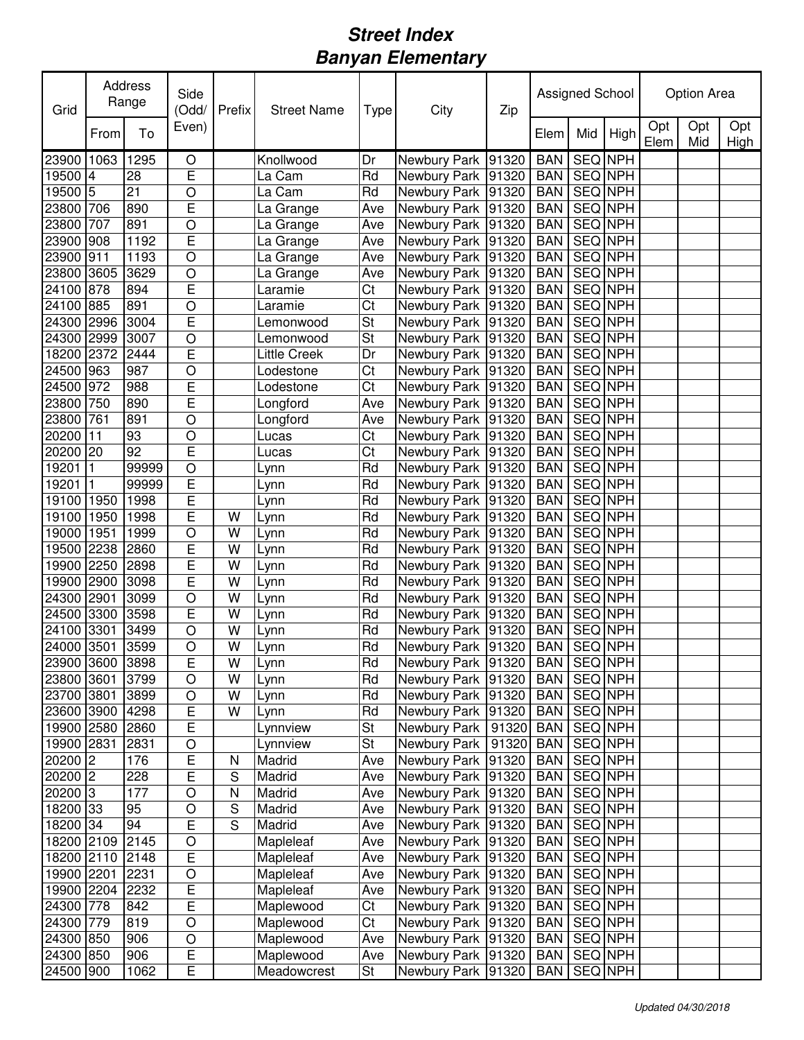| Grid                 |      | Address<br>Range | Side<br>(Odd/  | Prefix        | <b>Street Name</b>  | Type                   | City                 | Zip   |            | Assigned School |                |             | Option Area |             |
|----------------------|------|------------------|----------------|---------------|---------------------|------------------------|----------------------|-------|------------|-----------------|----------------|-------------|-------------|-------------|
|                      | From | To               | Even)          |               |                     |                        |                      |       | Elem       | Mid             | High           | Opt<br>Elem | Opt<br>Mid  | Opt<br>High |
| 23900                | 1063 | 1295             | O              |               | Knollwood           | Dr                     | Newbury Park 91320   |       | <b>BAN</b> | <b>SEQ NPH</b>  |                |             |             |             |
| 19500                | 4    | 28               | E              |               | La Cam              | Rd                     | Newbury Park 91320   |       | <b>BAN</b> | SEQ NPH         |                |             |             |             |
| 19500 5              |      | 21               | $\circ$        |               | La Cam              | Rd                     | Newbury Park 91320   |       | <b>BAN</b> | SEQ NPH         |                |             |             |             |
| 23800                | 706  | 890              | E              |               | La Grange           | Ave                    | Newbury Park 91320   |       | <b>BAN</b> | SEQ NPH         |                |             |             |             |
| 23800                | 707  | 891              | $\circ$        |               | La Grange           | Ave                    | Newbury Park 91320   |       | <b>BAN</b> | SEQ NPH         |                |             |             |             |
| 23900                | 908  | 1192             | E              |               | La Grange           | Ave                    | Newbury Park 91320   |       | <b>BAN</b> | SEQ NPH         |                |             |             |             |
| 23900                | 911  | 1193             | $\circ$        |               | La Grange           | Ave                    | Newbury Park 91320   |       | <b>BAN</b> | SEQ NPH         |                |             |             |             |
| 23800                | 3605 | 3629             | $\circ$        |               | La Grange           | Ave                    | Newbury Park 91320   |       | <b>BAN</b> | SEQ NPH         |                |             |             |             |
| 24100                | 878  | 894              | E              |               | Laramie             | Ct                     | Newbury Park 91320   |       | <b>BAN</b> | SEQ NPH         |                |             |             |             |
| 24100 885            |      | 891              | O              |               | Laramie             | $\overline{\text{Ct}}$ | Newbury Park 91320   |       | <b>BAN</b> | SEQ NPH         |                |             |             |             |
| 24300                | 2996 | 3004             | E              |               | Lemonwood           | <b>St</b>              | Newbury Park 91320   |       | <b>BAN</b> | SEQ NPH         |                |             |             |             |
| 24300                | 2999 | 3007             | $\circ$        |               | Lemonwood           | <b>St</b>              | Newbury Park 91320   |       | <b>BAN</b> | SEQ NPH         |                |             |             |             |
| 18200                | 2372 | 2444             | E              |               | <b>Little Creek</b> | Dr                     | Newbury Park 91320   |       | <b>BAN</b> | SEQ NPH         |                |             |             |             |
| 24500                | 963  | 987              | $\circ$        |               | Lodestone           | Ct                     | Newbury Park 91320   |       | <b>BAN</b> | SEQ NPH         |                |             |             |             |
| 24500                | 972  | 988              | E              |               | Lodestone           | $\overline{\text{C}t}$ | Newbury Park 91320   |       | <b>BAN</b> | <b>SEQ NPH</b>  |                |             |             |             |
| 23800                | 750  | 890              | E              |               | Longford            | Ave                    | Newbury Park 91320   |       | <b>BAN</b> | SEQ NPH         |                |             |             |             |
| 23800                | 761  | 891              | $\circ$        |               | Longford            | Ave                    | Newbury Park 91320   |       | <b>BAN</b> | SEQ NPH         |                |             |             |             |
| 20200                | 11   | 93               | $\circ$        |               | Lucas               | Ct                     | Newbury Park 91320   |       | <b>BAN</b> | SEQ NPH         |                |             |             |             |
| 20200 20             |      | 92               | E              |               | Lucas               | Ct                     | Newbury Park 91320   |       | <b>BAN</b> | SEQ NPH         |                |             |             |             |
| 19201                | 1    | 99999            | $\circ$        |               | Lynn                | Rd                     | Newbury Park 91320   |       | <b>BAN</b> | SEQ NPH         |                |             |             |             |
| 19201                | 1    | 99999            | E              |               | Lynn                | Rd                     | Newbury Park 91320   |       | <b>BAN</b> | SEQ NPH         |                |             |             |             |
| 19100                | 1950 | 1998             | E              |               | Lynn                | Rd                     | Newbury Park 91320   |       | <b>BAN</b> | SEQ NPH         |                |             |             |             |
| 19100                | 1950 | 1998             | E              | W             | Lynn                | Rd                     | Newbury Park 91320   |       | <b>BAN</b> | SEQ NPH         |                |             |             |             |
| 19000                | 1951 | 1999             | $\circ$        | W             | Lynn                | Rd                     | Newbury Park 91320   |       | <b>BAN</b> | SEQ NPH         |                |             |             |             |
| 19500                | 2238 | 2860             | E              | W             | Lynn                | Rd                     | Newbury Park 91320   |       | <b>BAN</b> | SEQ NPH         |                |             |             |             |
| 19900 2250           |      | 2898             | E              | W             | Lynn                | Rd                     | Newbury Park 91320   |       | <b>BAN</b> | SEQ NPH         |                |             |             |             |
| 19900                | 2900 | 3098             | E              | W             | Lynn                | Rd                     | Newbury Park 91320   |       | <b>BAN</b> | SEQ NPH         |                |             |             |             |
| 24300                | 2901 | 3099             | O              | W             | Lynn                | Rd                     | Newbury Park 91320   |       | <b>BAN</b> | SEQ NPH         |                |             |             |             |
| 24500                | 3300 | 3598             | E              | W             | Lynn                | Rd                     | Newbury Park 91320   |       | <b>BAN</b> | SEQ NPH         |                |             |             |             |
| 24100                | 3301 | 3499             | $\circ$        | W             | Lynn                | Rd                     | Newbury Park 91320   |       | <b>BAN</b> | SEQ NPH         |                |             |             |             |
| 24000 3501           |      | 3599             | $\circ$        | W             | Lynn                | Rd                     | Newbury Park 91320   |       | <b>BAN</b> | <b>SEQ NPH</b>  |                |             |             |             |
| 23900 3600 3898      |      |                  | $\overline{E}$ | W             | Lynn                | Rd                     | Newbury Park 91320   |       | <b>BAN</b> |                 | <b>SEQ NPH</b> |             |             |             |
| 23800 3601           |      | 3799             | $\circ$        | W             | Lynn                | Rd                     | Newbury Park   91320 |       | <b>BAN</b> | SEQ NPH         |                |             |             |             |
| 23700 3801           |      | 3899             | O              | W             | Lynn                | Rd                     | Newbury Park 91320   |       | <b>BAN</b> | SEQ NPH         |                |             |             |             |
| 23600 3900           |      | 4298             | E              | W             | Lynn                | $\overline{Rd}$        | Newbury Park 91320   |       | <b>BAN</b> | SEQ NPH         |                |             |             |             |
| 19900 2580           |      | 2860             | E              |               | Lynnview            | St                     | Newbury Park         | 91320 | <b>BAN</b> | SEQ NPH         |                |             |             |             |
| 19900 2831           |      | 2831             | $\circ$        |               | Lynnview            | St                     | Newbury Park         | 91320 | <b>BAN</b> | SEQ NPH         |                |             |             |             |
| 20200 2              |      | 176              | E              | N             | Madrid              | Ave                    | Newbury Park 91320   |       | <b>BAN</b> |                 | SEQ NPH        |             |             |             |
| $20200$ <sup>2</sup> |      | 228              | E              | ${\mathsf S}$ | Madrid              | Ave                    | Newbury Park 91320   |       | <b>BAN</b> |                 | SEQ NPH        |             |             |             |
| 20200 3              |      | 177              | $\circ$        | N             | Madrid              | Ave                    | Newbury Park 91320   |       | <b>BAN</b> |                 | SEQ NPH        |             |             |             |
| 18200 33             |      | 95               | $\bigcirc$     | S             | Madrid              | Ave                    | Newbury Park 91320   |       | <b>BAN</b> |                 | SEQ NPH        |             |             |             |
| 18200 34             |      | 94               | $\overline{E}$ | S             | Madrid              | Ave                    | Newbury Park 91320   |       | <b>BAN</b> | SEQ NPH         |                |             |             |             |
| 18200 2109           |      | 2145             | $\circ$        |               | Mapleleaf           | Ave                    | Newbury Park 91320   |       | <b>BAN</b> |                 | SEQ NPH        |             |             |             |
| 18200 2110           |      | 2148             | E              |               | Mapleleaf           | Ave                    | Newbury Park 91320   |       | <b>BAN</b> | SEQ NPH         |                |             |             |             |
| 19900 2201           |      | 2231             | $\bigcirc$     |               | Mapleleaf           | Ave                    | Newbury Park 91320   |       | <b>BAN</b> | SEQ NPH         |                |             |             |             |
| 19900 2204           |      | 2232             | E              |               | Mapleleaf           | Ave                    | Newbury Park 91320   |       | <b>BAN</b> | SEQ NPH         |                |             |             |             |
| 24300                | 778  | 842              | E              |               | Maplewood           | Ct                     | Newbury Park 91320   |       | <b>BAN</b> | SEQ NPH         |                |             |             |             |
| 24300 779            |      | 819              | $\circ$        |               | Maplewood           | $\overline{\text{C}t}$ | Newbury Park 91320   |       | <b>BAN</b> |                 | SEQ NPH        |             |             |             |
| 24300 850            |      | 906              | $\circ$        |               | Maplewood           | Ave                    | Newbury Park 91320   |       | <b>BAN</b> |                 | SEQ NPH        |             |             |             |
| 24300 850            |      | 906              | E              |               | Maplewood           | Ave                    | Newbury Park 91320   |       | <b>BAN</b> |                 | SEQ NPH        |             |             |             |
| 24500 900            |      | 1062             | E              |               | Meadowcrest         | St                     | Newbury Park 91320   |       | <b>BAN</b> | SEQ NPH         |                |             |             |             |
|                      |      |                  |                |               |                     |                        |                      |       |            |                 |                |             |             |             |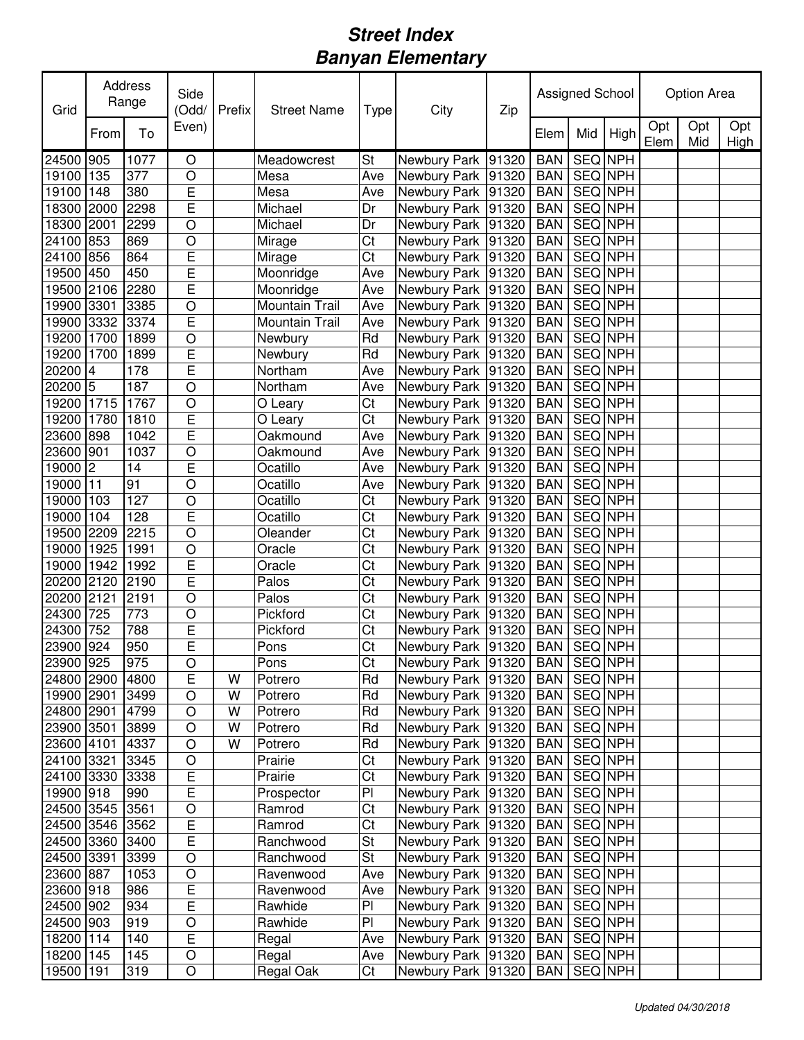| Grid            |                | Address<br>Range | Side<br>(Odd/  | Prefix | <b>Street Name</b> | Type                   | City                   | Zip |               | Assigned School |         |             | Option Area |             |
|-----------------|----------------|------------------|----------------|--------|--------------------|------------------------|------------------------|-----|---------------|-----------------|---------|-------------|-------------|-------------|
|                 | From           | To               | Even)          |        |                    |                        |                        |     | Elem          | Mid             | High    | Opt<br>Elem | Opt<br>Mid  | Opt<br>High |
| 24500           | 905            | 1077             | O              |        | Meadowcrest        | St                     | Newbury Park 91320     |     | <b>BAN</b>    | <b>SEQ NPH</b>  |         |             |             |             |
| 19100 135       |                | 377              | $\circ$        |        | Mesa               | Ave                    | Newbury Park 91320     |     | <b>BAN</b>    | <b>SEQ NPH</b>  |         |             |             |             |
| 19100           | 148            | 380              | E              |        | Mesa               | Ave                    | Newbury Park 91320     |     | <b>BAN</b>    | SEQ NPH         |         |             |             |             |
| 18300           | 2000           | 2298             | $\overline{E}$ |        | Michael            | Dr                     | Newbury Park 91320     |     | <b>BAN</b>    | SEQ NPH         |         |             |             |             |
| 18300           | 2001           | 2299             | $\circ$        |        | Michael            | Dr                     | Newbury Park 91320     |     | <b>BAN</b>    | SEQ NPH         |         |             |             |             |
| 24100           | 853            | 869              | $\circ$        |        | Mirage             | Ct                     | Newbury Park 91320     |     | <b>BAN</b>    | SEQ NPH         |         |             |             |             |
| 24100           | 856            | 864              | E              |        | Mirage             | Ct                     | Newbury Park 91320     |     | <b>BAN</b>    | SEQ NPH         |         |             |             |             |
| 19500           | 450            | 450              | Ē              |        | Moonridge          | Ave                    | Newbury Park 91320     |     | <b>BAN</b>    | SEQ NPH         |         |             |             |             |
| 19500 2106      |                | 2280             | E              |        | Moonridge          | Ave                    | Newbury Park 91320     |     | <b>BAN</b>    | SEQ NPH         |         |             |             |             |
| 19900 3301      |                | 3385             | $\circ$        |        | Mountain Trail     | Ave                    | Newbury Park 91320     |     | <b>BAN</b>    | SEQ NPH         |         |             |             |             |
| 19900 3332      |                | 3374             | E              |        | Mountain Trail     | Ave                    | Newbury Park 91320     |     | <b>BAN</b>    | SEQ NPH         |         |             |             |             |
| 19200 1700      |                | 1899             | O              |        | Newbury            | Rd                     | Newbury Park 91320     |     | <b>BAN</b>    | SEQ NPH         |         |             |             |             |
| 19200           | 1700           | 1899             | E              |        | Newbury            | Rd                     | Newbury Park 91320     |     | <b>BAN</b>    | SEQ NPH         |         |             |             |             |
| 20200           | $\overline{4}$ | 178              | E              |        | Northam            | Ave                    | Newbury Park 91320     |     | <b>BAN</b>    | SEQ NPH         |         |             |             |             |
| 20200 5         |                | 187              | $\circ$        |        | Northam            | Ave                    | Newbury Park 91320     |     | <b>BAN</b>    | <b>SEQ NPH</b>  |         |             |             |             |
| 19200 1715      |                | 1767             | $\circ$        |        | O Leary            | $\overline{\text{C}t}$ | Newbury Park 91320     |     | <b>BAN</b>    | <b>SEQ NPH</b>  |         |             |             |             |
| 19200 1780      |                | 1810             | E              |        | O Leary            | $\overline{\text{Ct}}$ | Newbury Park 91320     |     | <b>BAN</b>    | <b>SEQ</b> NPH  |         |             |             |             |
| 23600 898       |                | 1042             | E              |        | Oakmound           | Ave                    | Newbury Park 91320     |     | <b>BAN</b>    | <b>SEQ NPH</b>  |         |             |             |             |
| 23600           | 901            | 1037             | $\circ$        |        | Oakmound           | Ave                    | Newbury Park 91320     |     | <b>BAN</b>    | SEQ NPH         |         |             |             |             |
| 19000 2         |                | 14               | E              |        | Ocatillo           | Ave                    | Newbury Park 91320     |     | <b>BAN</b>    | SEQ NPH         |         |             |             |             |
| 19000 11        |                | 91               | $\circ$        |        | Ocatillo           | Ave                    | Newbury Park 91320     |     | <b>BAN</b>    | SEQ NPH         |         |             |             |             |
| 19000           | 103            | 127              | $\circ$        |        | Ocatillo           | Ct                     | Newbury Park 91320     |     | <b>BAN</b>    | SEQ NPH         |         |             |             |             |
| 19000           | 104            | 128              | E              |        | Ocatillo           | Ct                     | Newbury Park 91320     |     | <b>BAN</b>    | SEQ NPH         |         |             |             |             |
| 19500           | 2209           | 2215             | $\overline{O}$ |        | Oleander           | Ct                     | Newbury Park 91320     |     | <b>BAN</b>    | SEQ NPH         |         |             |             |             |
| 19000           | 1925           | 1991             | $\circ$        |        | Oracle             | Ct                     | Newbury Park 91320     |     | <b>BAN</b>    | SEQ NPH         |         |             |             |             |
| 19000           | 1942           | 1992             | $\overline{E}$ |        | Oracle             | Ct                     | Newbury Park 91320     |     | <b>BAN</b>    | SEQ NPH         |         |             |             |             |
| 20200 2120      |                | 2190             | E              |        | Palos              | Ct                     | Newbury Park 91320     |     | <b>BAN</b>    | SEQ NPH         |         |             |             |             |
| 20200 2121      |                | 2191             | $\circ$        |        | Palos              | Ct                     | Newbury Park 91320     |     | <b>BAN</b>    | SEQ NPH         |         |             |             |             |
| 24300           | 725            | 773              | $\circ$        |        | Pickford           | Ct                     | Newbury Park 91320     |     | <b>BAN</b>    | SEQ NPH         |         |             |             |             |
| 24300           | 752            | 788              | E              |        | Pickford           | Ct                     | Newbury Park 91320     |     | <b>BAN</b>    | SEQ NPH         |         |             |             |             |
| 23900 924       |                | 950              | E              |        | Pons               | $\overline{\text{C}t}$ | Newbury Park 91320     |     | <b>BAN</b>    | SEQ NPH         |         |             |             |             |
| 23900 925       |                | 975              | $\bigcirc$     |        | Pons               | $\overline{C}$         | Newbury Park 91320 BAN |     |               | SEQ NPH         |         |             |             |             |
| 24800 2900 4800 |                |                  | E              | W      | Potrero            | Rd                     | Newbury Park   91320   |     | <b>BAN</b>    | SEQ NPH         |         |             |             |             |
| 19900 2901      |                | 3499             | O              | W      | Potrero            | Rd                     | Newbury Park 91320     |     | BAN   SEQ NPH |                 |         |             |             |             |
| 24800 2901      |                | 4799             | $\circ$        | W      | Potrero            | $\overline{Rd}$        | Newbury Park 91320     |     | <b>BAN</b>    | SEQ NPH         |         |             |             |             |
| 23900 3501      |                | 3899             | O              | W      | Potrero            | Rd                     | Newbury Park 91320     |     | <b>BAN</b>    | SEQ NPH         |         |             |             |             |
| 23600 4101      |                | 4337             | $\circ$        | W      | Potrero            | Rd                     | Newbury Park 91320     |     | <b>BAN</b>    | SEQ NPH         |         |             |             |             |
| 24100 3321      |                | 3345             | $\circ$        |        | Prairie            | Ct                     | Newbury Park 91320     |     | <b>BAN</b>    | SEQ NPH         |         |             |             |             |
| 24100 3330      |                | 3338             | $\overline{E}$ |        | Prairie            | $\overline{\text{C}t}$ | Newbury Park 91320     |     | <b>BAN</b>    |                 | SEQ NPH |             |             |             |
| 19900 918       |                | 990              | $\overline{E}$ |        | Prospector         | $\overline{P}$         | Newbury Park 91320     |     | <b>BAN</b>    | SEQ NPH         |         |             |             |             |
| 24500 3545      |                | 3561             | $\bigcirc$     |        | Ramrod             | $\overline{\text{C}t}$ | Newbury Park 91320     |     | <b>BAN</b>    | SEQ NPH         |         |             |             |             |
| 24500 3546      |                | 3562             | E              |        | Ramrod             | $\overline{\text{C}t}$ | Newbury Park 91320     |     | <b>BAN</b>    | SEQ NPH         |         |             |             |             |
| 24500 3360      |                | 3400             | E              |        | Ranchwood          | St                     | Newbury Park 91320     |     | <b>BAN</b>    | SEQ NPH         |         |             |             |             |
| 24500 3391      |                | 3399             | O              |        | Ranchwood          | <b>St</b>              | Newbury Park 91320     |     | <b>BAN</b>    | SEQ NPH         |         |             |             |             |
| 23600 887       |                | 1053             | $\bigcirc$     |        | Ravenwood          | Ave                    | Newbury Park 91320     |     | <b>BAN</b>    | SEQ NPH         |         |             |             |             |
| 23600 918       |                | 986              | $\mathsf E$    |        | Ravenwood          | Ave                    | Newbury Park 91320     |     | <b>BAN</b>    | SEQ NPH         |         |             |             |             |
| 24500 902       |                | 934              | $\mathsf E$    |        | Rawhide            | PI                     | Newbury Park 91320     |     | <b>BAN</b>    | SEQ NPH         |         |             |             |             |
| 24500 903       |                | 919              | $\bigcirc$     |        | Rawhide            | PI                     | Newbury Park 91320     |     | <b>BAN</b>    | SEQ NPH         |         |             |             |             |
| 18200 114       |                | 140              | $\mathsf E$    |        | Regal              | Ave                    | Newbury Park 91320     |     | <b>BAN</b>    | SEQ NPH         |         |             |             |             |
| 18200 145       |                | 145              | $\bigcirc$     |        | Regal              | Ave                    | Newbury Park 91320     |     | <b>BAN</b>    | SEQ NPH         |         |             |             |             |
| 19500 191       |                | 319              | $\bigcirc$     |        | Regal Oak          | Ct                     | Newbury Park 91320     |     | <b>BAN</b>    | SEQ NPH         |         |             |             |             |
|                 |                |                  |                |        |                    |                        |                        |     |               |                 |         |             |             |             |